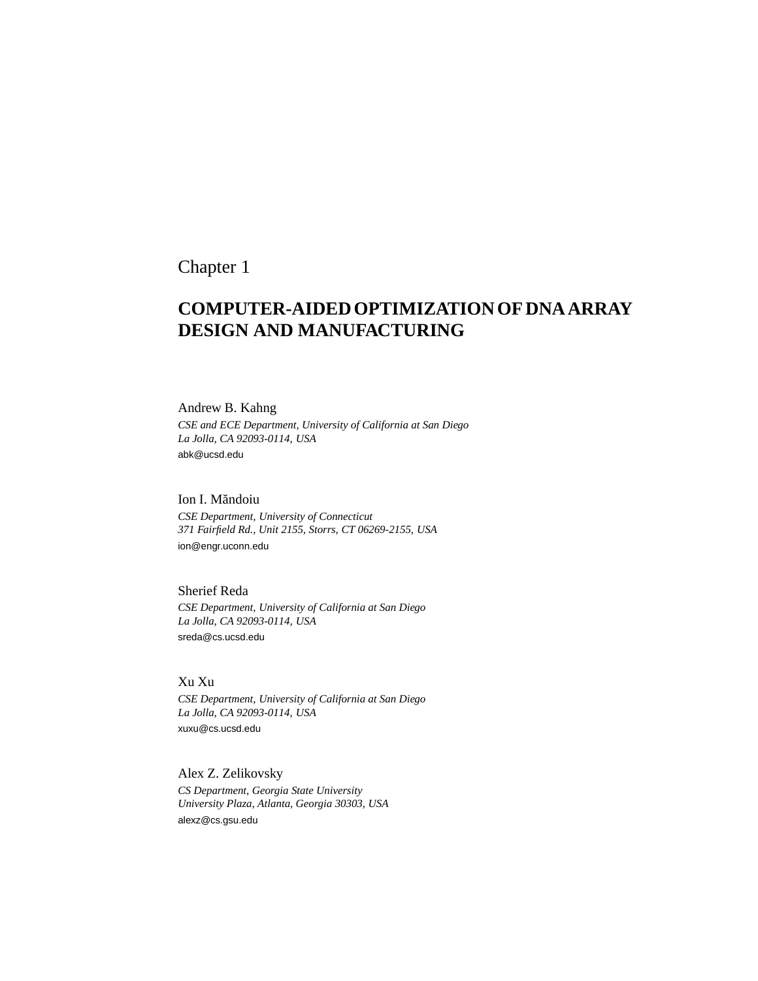# Chapter 1

# **COMPUTER-AIDEDOPTIMIZATIONOFDNAARRAY DESIGN AND MANUFACTURING**

#### Andrew B. Kahng

*CSE and ECE Department, University of California at San Diego La Jolla, CA 92093-0114, USA* abk@ucsd.edu

#### Ion I. Măndoiu

*CSE Department, University of Connecticut 371 Fairfield Rd., Unit 2155, Storrs, CT 06269-2155, USA* ion@engr.uconn.edu

#### Sherief Reda

*CSE Department, University of California at San Diego La Jolla, CA 92093-0114, USA* sreda@cs.ucsd.edu

Xu Xu *CSE Department, University of California at San Diego La Jolla, CA 92093-0114, USA* xuxu@cs.ucsd.edu

Alex Z. Zelikovsky

*CS Department, Georgia State University University Plaza, Atlanta, Georgia 30303, USA* alexz@cs.gsu.edu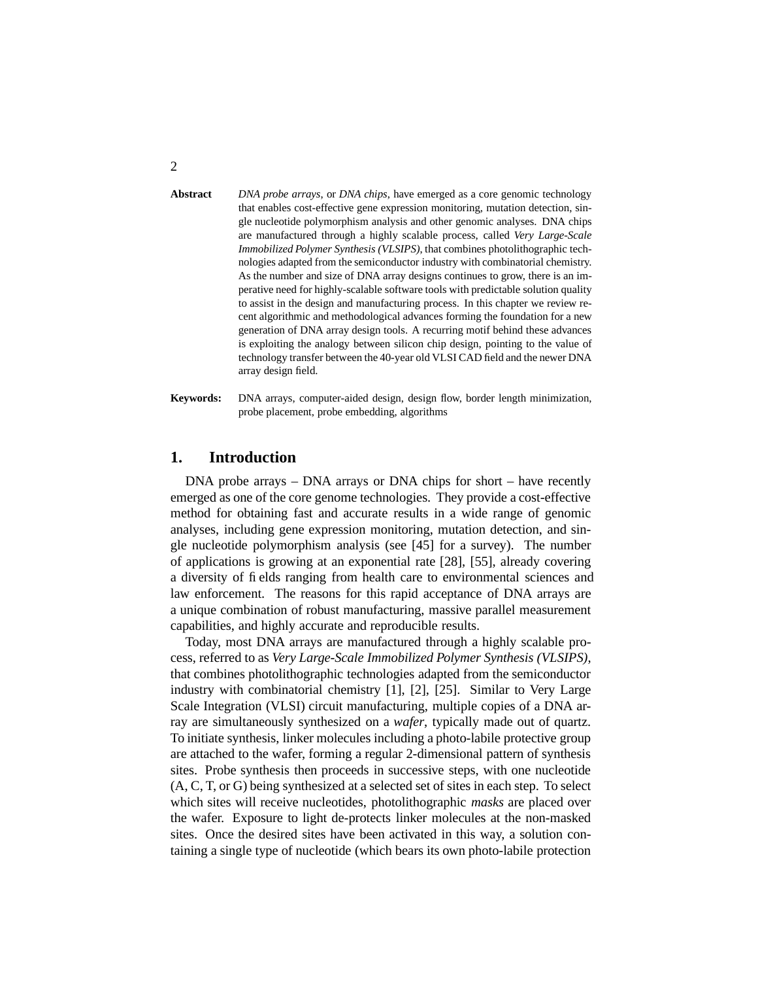**Abstract** *DNA probe arrays*, or *DNA chips*, have emerged as a core genomic technology that enables cost-effective gene expression monitoring, mutation detection, single nucleotide polymorphism analysis and other genomic analyses. DNA chips are manufactured through a highly scalable process, called *Very Large-Scale Immobilized Polymer Synthesis (VLSIPS)*, that combines photolithographic technologies adapted from the semiconductor industry with combinatorial chemistry. As the number and size of DNA array designs continues to grow, there is an imperative need for highly-scalable software tools with predictable solution quality to assist in the design and manufacturing process. In this chapter we review recent algorithmic and methodological advances forming the foundation for a new generation of DNA array design tools. A recurring motif behind these advances is exploiting the analogy between silicon chip design, pointing to the value of technology transfer between the 40-year old VLSI CAD field and the newer DNA array design field.

**Keywords:** DNA arrays, computer-aided design, design flow, border length minimization, probe placement, probe embedding, algorithms

## **1. Introduction**

DNA probe arrays – DNA arrays or DNA chips for short – have recently emerged as one of the core genome technologies. They provide a cost-effective method for obtaining fast and accurate results in a wide range of genomic analyses, including gene expression monitoring, mutation detection, and single nucleotide polymorphism analysis (see [45] for a survey). The number of applications is growing at an exponential rate [28], [55], already covering a diversity of fields ranging from health care to environmental sciences and law enforcement. The reasons for this rapid acceptance of DNA arrays are a unique combination of robust manufacturing, massive parallel measurement capabilities, and highly accurate and reproducible results.

Today, most DNA arrays are manufactured through a highly scalable process, referred to as *Very Large-Scale Immobilized Polymer Synthesis (VLSIPS)*, that combines photolithographic technologies adapted from the semiconductor industry with combinatorial chemistry [1], [2], [25]. Similar to Very Large Scale Integration (VLSI) circuit manufacturing, multiple copies of a DNA array are simultaneously synthesized on a *wafer*, typically made out of quartz. To initiate synthesis, linker molecules including a photo-labile protective group are attached to the wafer, forming a regular 2-dimensional pattern of synthesis sites. Probe synthesis then proceeds in successive steps, with one nucleotide (A, C, T, or G) being synthesized at a selected set of sites in each step. To select which sites will receive nucleotides, photolithographic *masks* are placed over the wafer. Exposure to light de-protects linker molecules at the non-masked sites. Once the desired sites have been activated in this way, a solution containing a single type of nucleotide (which bears its own photo-labile protection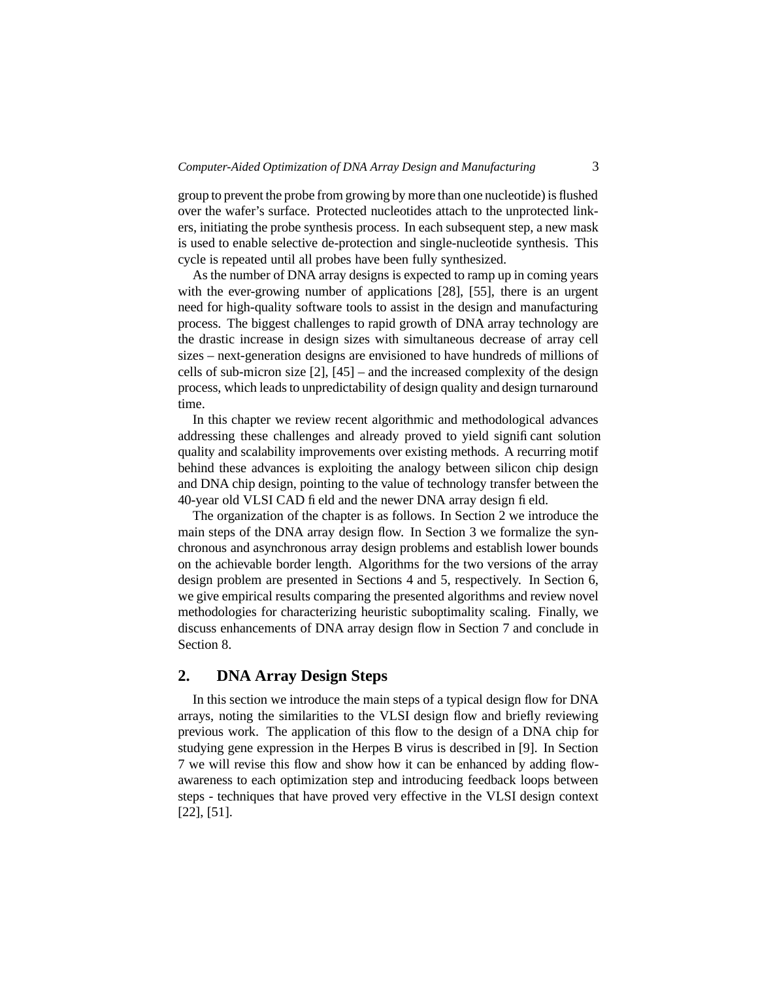group to prevent the probe from growing by more than one nucleotide) is flushed over the wafer's surface. Protected nucleotides attach to the unprotected linkers, initiating the probe synthesis process. In each subsequent step, a new mask is used to enable selective de-protection and single-nucleotide synthesis. This cycle is repeated until all probes have been fully synthesized.

As the number of DNA array designs is expected to ramp up in coming years with the ever-growing number of applications [28], [55], there is an urgent need for high-quality software tools to assist in the design and manufacturing process. The biggest challenges to rapid growth of DNA array technology are the drastic increase in design sizes with simultaneous decrease of array cell sizes – next-generation designs are envisioned to have hundreds of millions of cells of sub-micron size  $[2]$ ,  $[45]$  – and the increased complexity of the design process, which leads to unpredictability of design quality and design turnaround time.

In this chapter we review recent algorithmic and methodological advances addressing these challenges and already proved to yield significant solution quality and scalability improvements over existing methods. A recurring motif behind these advances is exploiting the analogy between silicon chip design and DNA chip design, pointing to the value of technology transfer between the 40-year old VLSI CAD field and the newer DNA array design field.

The organization of the chapter is as follows. In Section 2 we introduce the main steps of the DNA array design flow. In Section 3 we formalize the synchronous and asynchronous array design problems and establish lower bounds on the achievable border length. Algorithms for the two versions of the array design problem are presented in Sections 4 and 5, respectively. In Section 6, we give empirical results comparing the presented algorithms and review novel methodologies for characterizing heuristic suboptimality scaling. Finally, we discuss enhancements of DNA array design flow in Section 7 and conclude in Section 8.

## **2. DNA Array Design Steps**

In this section we introduce the main steps of a typical design flow for DNA arrays, noting the similarities to the VLSI design flow and briefly reviewing previous work. The application of this flow to the design of a DNA chip for studying gene expression in the Herpes B virus is described in [9]. In Section 7 we will revise this flow and show how it can be enhanced by adding flowawareness to each optimization step and introducing feedback loops between steps - techniques that have proved very effective in the VLSI design context [22], [51].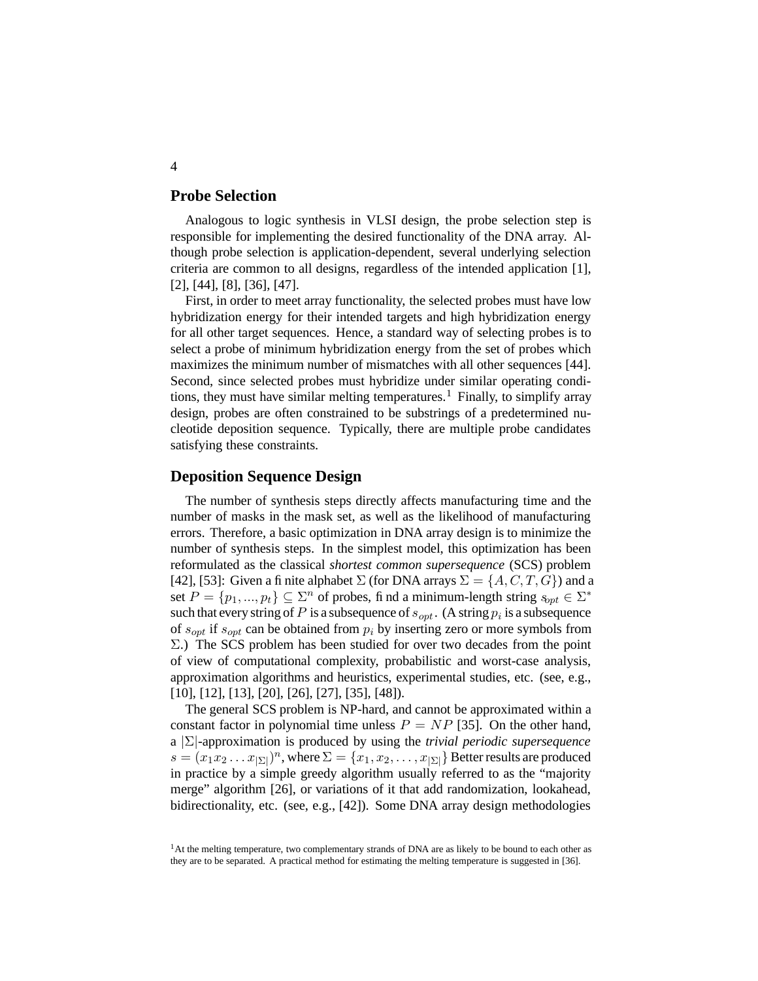## **Probe Selection**

Analogous to logic synthesis in VLSI design, the probe selection step is responsible for implementing the desired functionality of the DNA array. Although probe selection is application-dependent, several underlying selection criteria are common to all designs, regardless of the intended application [1], [2], [44], [8], [36], [47].

First, in order to meet array functionality, the selected probes must have low hybridization energy for their intended targets and high hybridization energy for all other target sequences. Hence, a standard way of selecting probes is to select a probe of minimum hybridization energy from the set of probes which maximizes the minimum number of mismatches with all other sequences [44]. Second, since selected probes must hybridize under similar operating conditions, they must have similar melting temperatures.<sup>1</sup> Finally, to simplify array design, probes are often constrained to be substrings of a predetermined nucleotide deposition sequence. Typically, there are multiple probe candidates satisfying these constraints.

## **Deposition Sequence Design**

The number of synthesis steps directly affects manufacturing time and the number of masks in the mask set, as well as the likelihood of manufacturing errors. Therefore, a basic optimization in DNA array design is to minimize the number of synthesis steps. In the simplest model, this optimization has been reformulated as the classical *shortest common supersequence* (SCS) problem [42], [53]: Given a fi nite alphabet  $\Sigma$  (for DNA arrays  $\Sigma = \{A, C, T, G\}$ ) and a set  $P = \{p_1, ..., p_t\} \subseteq \Sigma^n$  of probes, find a minimum-length string  $s_{opt} \in \Sigma^*$ such that every string of  $P$  is a subsequence of  $s_{opt}$ . (A string  $p_i$  is a subsequence of  $s_{opt}$  if  $s_{opt}$  can be obtained from  $p_i$  by inserting zero or more symbols from Σ.) The SCS problem has been studied for over two decades from the point of view of computational complexity, probabilistic and worst-case analysis, approximation algorithms and heuristics, experimental studies, etc. (see, e.g., [10], [12], [13], [20], [26], [27], [35], [48]).

The general SCS problem is NP-hard, and cannot be approximated within a constant factor in polynomial time unless  $P = NP$  [35]. On the other hand, a |Σ|-approximation is produced by using the *trivial periodic supersequence*  $s=(x_1x_2\ldots x_{|\Sigma|})^n$ , where  $\Sigma=\{x_1,x_2,\ldots,x_{|\Sigma|}\}$  Better results are produced in practice by a simple greedy algorithm usually referred to as the "majority merge" algorithm [26], or variations of it that add randomization, lookahead, bidirectionality, etc. (see, e.g., [42]). Some DNA array design methodologies

<sup>&</sup>lt;sup>1</sup>At the melting temperature, two complementary strands of DNA are as likely to be bound to each other as they are to be separated. A practical method for estimating the melting temperature is suggested in [36].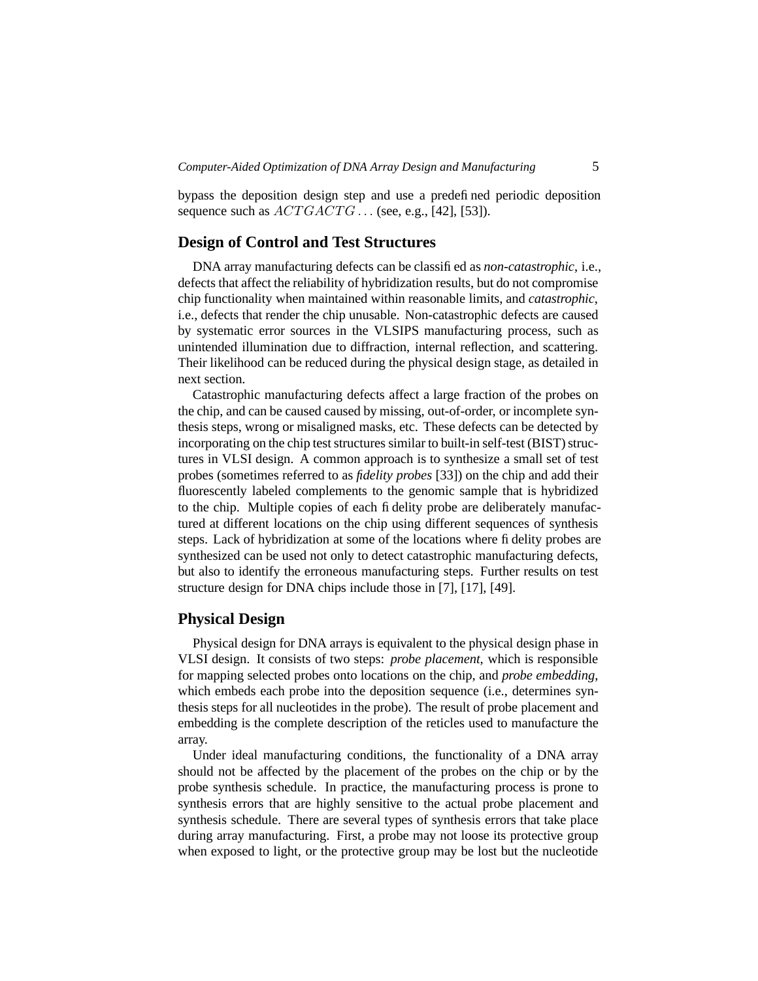bypass the deposition design step and use a predefined periodic deposition sequence such as  $ACTGACTG...$  (see, e.g., [42], [53]).

### **Design of Control and Test Structures**

DNA array manufacturing defects can be classified as *non-catastrophic*, i.e., defects that affect the reliability of hybridization results, but do not compromise chip functionality when maintained within reasonable limits, and *catastrophic*, i.e., defects that render the chip unusable. Non-catastrophic defects are caused by systematic error sources in the VLSIPS manufacturing process, such as unintended illumination due to diffraction, internal reflection, and scattering. Their likelihood can be reduced during the physical design stage, as detailed in next section.

Catastrophic manufacturing defects affect a large fraction of the probes on the chip, and can be caused caused by missing, out-of-order, or incomplete synthesis steps, wrong or misaligned masks, etc. These defects can be detected by incorporating on the chip test structures similar to built-in self-test (BIST) structures in VLSI design. A common approach is to synthesize a small set of test probes (sometimes referred to as *fidelity probes* [33]) on the chip and add their fluorescently labeled complements to the genomic sample that is hybridized to the chip. Multiple copies of each fidelity probe are deliberately manufactured at different locations on the chip using different sequences of synthesis steps. Lack of hybridization at some of the locations where fidelity probes are synthesized can be used not only to detect catastrophic manufacturing defects, but also to identify the erroneous manufacturing steps. Further results on test structure design for DNA chips include those in [7], [17], [49].

## **Physical Design**

Physical design for DNA arrays is equivalent to the physical design phase in VLSI design. It consists of two steps: *probe placement*, which is responsible for mapping selected probes onto locations on the chip, and *probe embedding*, which embeds each probe into the deposition sequence (i.e., determines synthesis steps for all nucleotides in the probe). The result of probe placement and embedding is the complete description of the reticles used to manufacture the array.

Under ideal manufacturing conditions, the functionality of a DNA array should not be affected by the placement of the probes on the chip or by the probe synthesis schedule. In practice, the manufacturing process is prone to synthesis errors that are highly sensitive to the actual probe placement and synthesis schedule. There are several types of synthesis errors that take place during array manufacturing. First, a probe may not loose its protective group when exposed to light, or the protective group may be lost but the nucleotide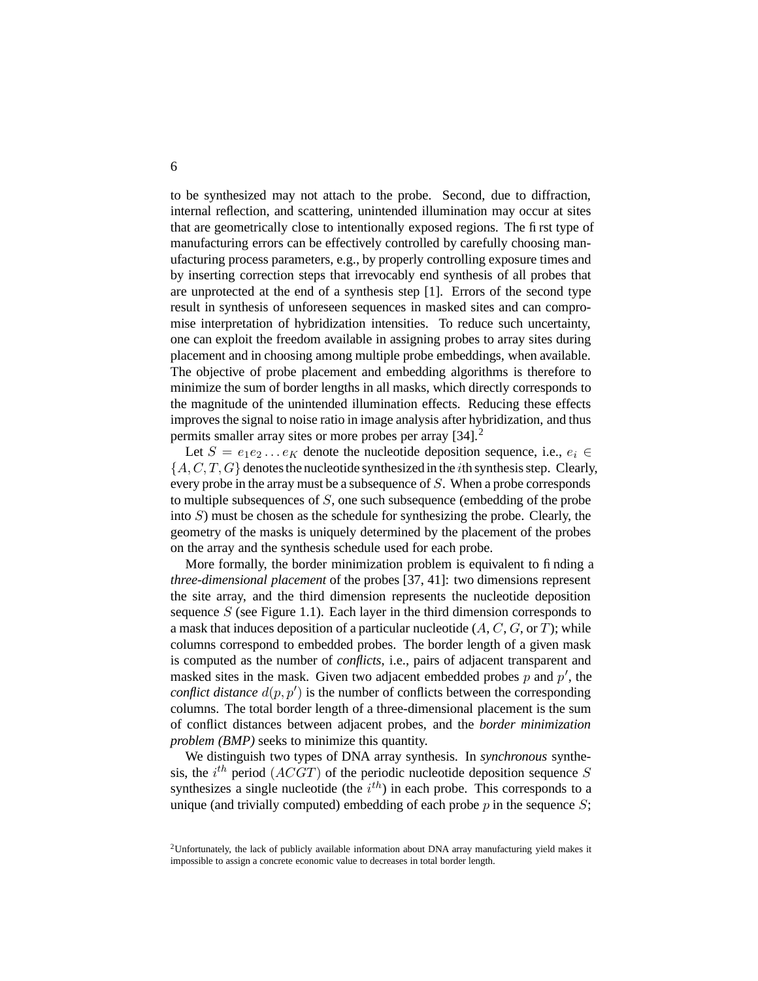to be synthesized may not attach to the probe. Second, due to diffraction, internal reflection, and scattering, unintended illumination may occur at sites that are geometrically close to intentionally exposed regions. The first type of manufacturing errors can be effectively controlled by carefully choosing manufacturing process parameters, e.g., by properly controlling exposure times and by inserting correction steps that irrevocably end synthesis of all probes that are unprotected at the end of a synthesis step [1]. Errors of the second type result in synthesis of unforeseen sequences in masked sites and can compromise interpretation of hybridization intensities. To reduce such uncertainty, one can exploit the freedom available in assigning probes to array sites during placement and in choosing among multiple probe embeddings, when available. The objective of probe placement and embedding algorithms is therefore to minimize the sum of border lengths in all masks, which directly corresponds to the magnitude of the unintended illumination effects. Reducing these effects improves the signal to noise ratio in image analysis after hybridization, and thus permits smaller array sites or more probes per array [34].<sup>2</sup>

Let  $S = e_1e_2 \dots e_K$  denote the nucleotide deposition sequence, i.e.,  $e_i \in$  $\{A, C, T, G\}$  denotes the nucleotide synthesized in the *i*th synthesis step. Clearly, every probe in the array must be a subsequence of S. When a probe corresponds to multiple subsequences of S, one such subsequence (embedding of the probe into  $S$ ) must be chosen as the schedule for synthesizing the probe. Clearly, the geometry of the masks is uniquely determined by the placement of the probes on the array and the synthesis schedule used for each probe.

More formally, the border minimization problem is equivalent to finding a *three-dimensional placement* of the probes [37, 41]: two dimensions represent the site array, and the third dimension represents the nucleotide deposition sequence  $S$  (see Figure 1.1). Each layer in the third dimension corresponds to a mask that induces deposition of a particular nucleotide  $(A, C, G, \text{or } T)$ ; while columns correspond to embedded probes. The border length of a given mask is computed as the number of *conflicts*, i.e., pairs of adjacent transparent and masked sites in the mask. Given two adjacent embedded probes  $p$  and  $p'$ , the *conflict distance*  $d(p, p')$  is the number of conflicts between the corresponding columns. The total border length of a three-dimensional placement is the sum of conflict distances between adjacent probes, and the *border minimization problem (BMP)* seeks to minimize this quantity.

We distinguish two types of DNA array synthesis. In *synchronous* synthesis, the  $i^{th}$  period (*ACGT*) of the periodic nucleotide deposition sequence S synthesizes a single nucleotide (the  $i^{th}$ ) in each probe. This corresponds to a unique (and trivially computed) embedding of each probe  $p$  in the sequence  $S$ ;

<sup>2</sup>Unfortunately, the lack of publicly available information about DNA array manufacturing yield makes it impossible to assign a concrete economic value to decreases in total border length.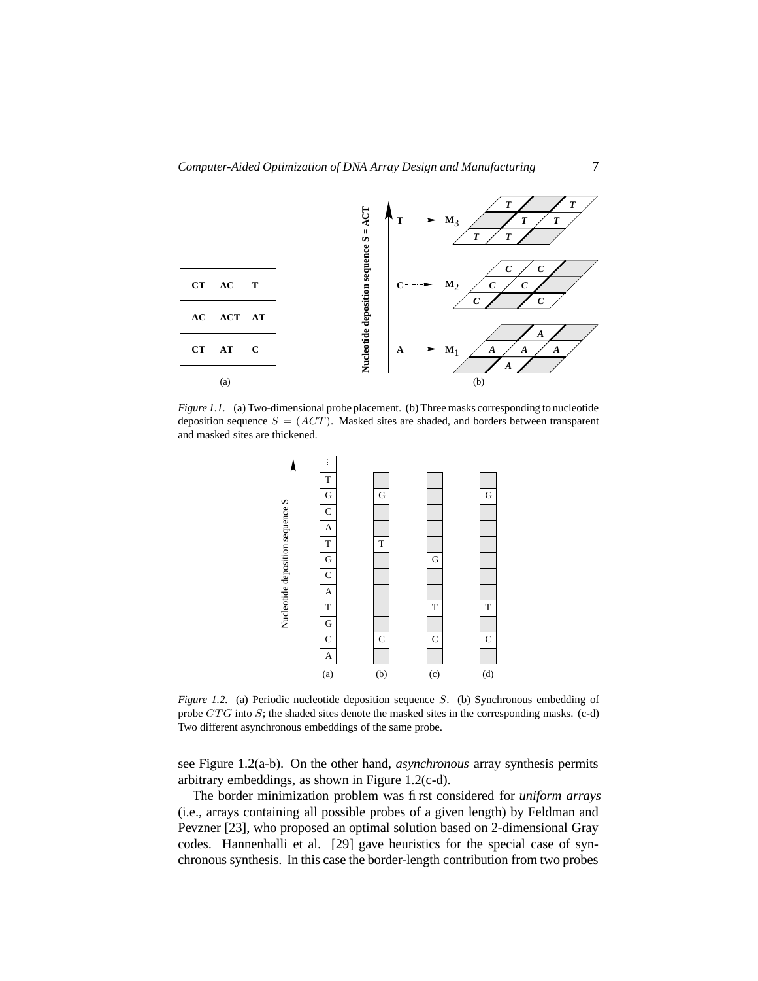

*Figure 1.1.* (a) Two-dimensional probe placement. (b) Three masks corresponding to nucleotide deposition sequence  $S = (ACT)$ . Masked sites are shaded, and borders between transparent and masked sites are thickened.



*Figure 1.2.* (a) Periodic nucleotide deposition sequence S. (b) Synchronous embedding of probe  $CTG$  into  $S$ ; the shaded sites denote the masked sites in the corresponding masks. (c-d) Two different asynchronous embeddings of the same probe.

see Figure 1.2(a-b). On the other hand, *asynchronous* array synthesis permits arbitrary embeddings, as shown in Figure 1.2(c-d).

The border minimization problem was first considered for *uniform arrays* (i.e., arrays containing all possible probes of a given length) by Feldman and Pevzner [23], who proposed an optimal solution based on 2-dimensional Gray codes. Hannenhalli et al. [29] gave heuristics for the special case of synchronous synthesis. In this case the border-length contribution from two probes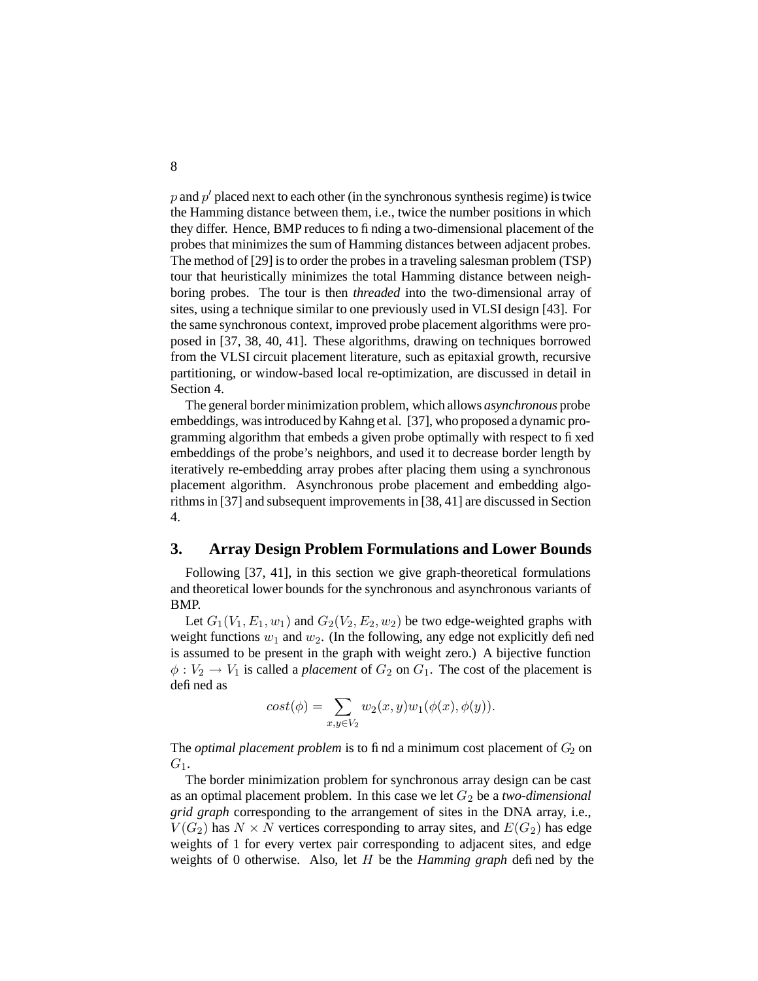p and  $p'$  placed next to each other (in the synchronous synthesis regime) is twice the Hamming distance between them, i.e., twice the number positions in which they differ. Hence, BMP reduces to finding a two-dimensional placement of the probes that minimizes the sum of Hamming distances between adjacent probes. The method of [29] isto order the probes in a traveling salesman problem (TSP) tour that heuristically minimizes the total Hamming distance between neighboring probes. The tour is then *threaded* into the two-dimensional array of sites, using a technique similar to one previously used in VLSI design [43]. For the same synchronous context, improved probe placement algorithms were proposed in [37, 38, 40, 41]. These algorithms, drawing on techniques borrowed from the VLSI circuit placement literature, such as epitaxial growth, recursive partitioning, or window-based local re-optimization, are discussed in detail in Section 4.

The general border minimization problem, which allows *asynchronous* probe embeddings, wasintroduced by Kahng et al. [37], who proposed a dynamic programming algorithm that embeds a given probe optimally with respect to fixed embeddings of the probe's neighbors, and used it to decrease border length by iteratively re-embedding array probes after placing them using a synchronous placement algorithm. Asynchronous probe placement and embedding algorithms in [37] and subsequent improvements in [38, 41] are discussed in Section 4.

### **3. Array Design Problem Formulations and Lower Bounds**

Following [37, 41], in this section we give graph-theoretical formulations and theoretical lower bounds for the synchronous and asynchronous variants of BMP.

Let  $G_1(V_1, E_1, w_1)$  and  $G_2(V_2, E_2, w_2)$  be two edge-weighted graphs with weight functions  $w_1$  and  $w_2$ . (In the following, any edge not explicitly defined is assumed to be present in the graph with weight zero.) A bijective function  $\phi: V_2 \to V_1$  is called a *placement* of  $G_2$  on  $G_1$ . The cost of the placement is defined as

$$
cost(\phi) = \sum_{x,y \in V_2} w_2(x,y)w_1(\phi(x), \phi(y)).
$$

The *optimal placement problem* is to find a minimum cost placement of  $G_2$  on  $G_1$ .

The border minimization problem for synchronous array design can be cast as an optimal placement problem. In this case we let  $G_2$  be a *two-dimensional grid graph* corresponding to the arrangement of sites in the DNA array, i.e.,  $V(G_2)$  has  $N \times N$  vertices corresponding to array sites, and  $E(G_2)$  has edge weights of 1 for every vertex pair corresponding to adjacent sites, and edge weights of 0 otherwise. Also, let H be the *Hamming graph* defined by the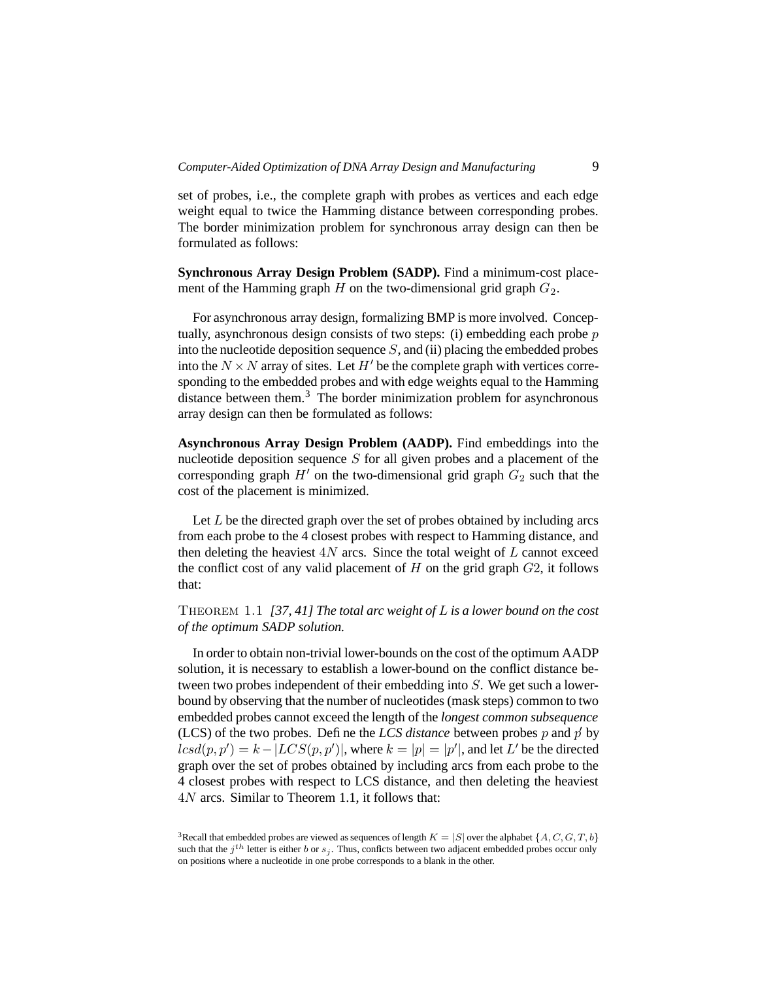set of probes, i.e., the complete graph with probes as vertices and each edge weight equal to twice the Hamming distance between corresponding probes. The border minimization problem for synchronous array design can then be formulated as follows:

**Synchronous Array Design Problem (SADP).** Find a minimum-cost placement of the Hamming graph  $H$  on the two-dimensional grid graph  $G_2$ .

For asynchronous array design, formalizing BMP is more involved. Conceptually, asynchronous design consists of two steps: (i) embedding each probe  $p$ into the nucleotide deposition sequence  $S$ , and (ii) placing the embedded probes into the  $N \times N$  array of sites. Let H' be the complete graph with vertices corresponding to the embedded probes and with edge weights equal to the Hamming distance between them. $3$  The border minimization problem for asynchronous array design can then be formulated as follows:

**Asynchronous Array Design Problem (AADP).** Find embeddings into the nucleotide deposition sequence  $S$  for all given probes and a placement of the corresponding graph  $H'$  on the two-dimensional grid graph  $G_2$  such that the cost of the placement is minimized.

Let  $L$  be the directed graph over the set of probes obtained by including arcs from each probe to the 4 closest probes with respect to Hamming distance, and then deleting the heaviest  $4N$  arcs. Since the total weight of  $L$  cannot exceed the conflict cost of any valid placement of  $H$  on the grid graph  $G2$ , it follows that:

Theorem 1.1 *[37, 41] The total arc weight of* L *is a lower bound on the cost of the optimum SADP solution.*

In order to obtain non-trivial lower-bounds on the cost of the optimum AADP solution, it is necessary to establish a lower-bound on the conflict distance between two probes independent of their embedding into S. We get such a lowerbound by observing that the number of nucleotides (mask steps) common to two embedded probes cannot exceed the length of the *longest common subsequence* (LCS) of the two probes. Define the *LCS distance* between probes  $p$  and  $p'$  by  $lcsd(p, p') = k - |LCS(p, p')|$ , where  $k = |p| = |p'|$ , and let  $L'$  be the directed graph over the set of probes obtained by including arcs from each probe to the 4 closest probes with respect to LCS distance, and then deleting the heaviest 4N arcs. Similar to Theorem 1.1, it follows that:

<sup>&</sup>lt;sup>3</sup>Recall that embedded probes are viewed as sequences of length  $K = |S|$  over the alphabet  $\{A, C, G, T, b\}$ such that the  $j<sup>th</sup>$  letter is either b or  $s_j$ . Thus, conflicts between two adjacent embedded probes occur only on positions where a nucleotide in one probe corresponds to a blank in the other.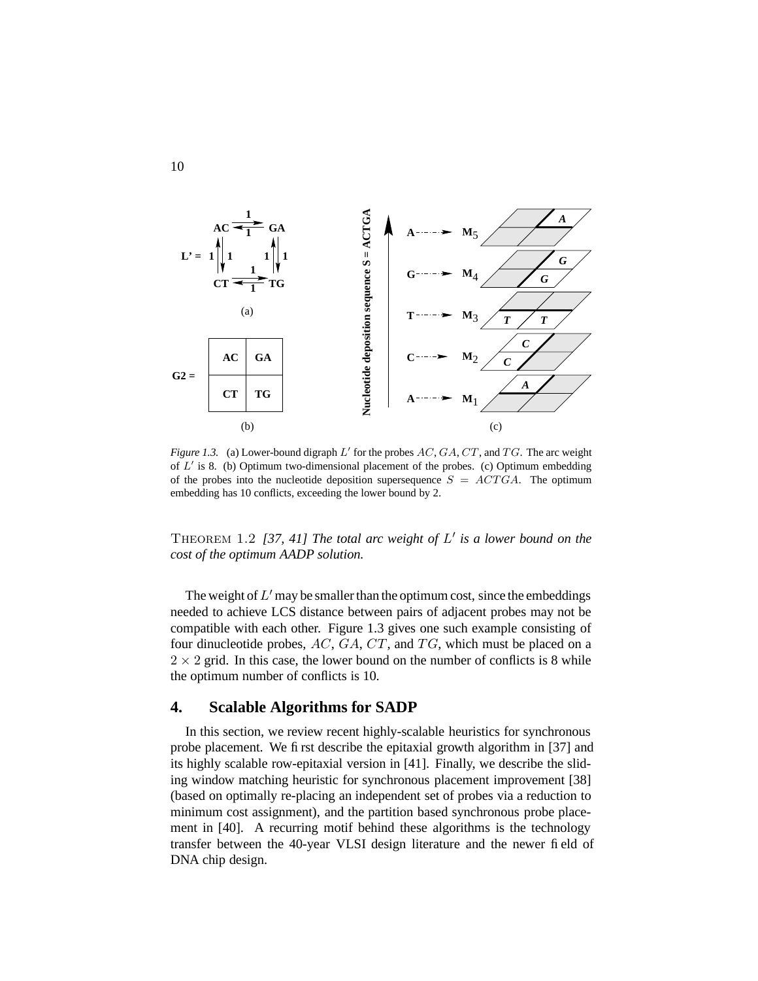

*Figure 1.3.* (a) Lower-bound digraph  $L'$  for the probes  $AC$ ,  $GA$ ,  $CT$ , and  $TG$ . The arc weight of  $L'$  is 8. (b) Optimum two-dimensional placement of the probes. (c) Optimum embedding of the probes into the nucleotide deposition supersequence  $S = ACTGA$ . The optimum embedding has 10 conflicts, exceeding the lower bound by 2.

THEOREM 1.2 [37, 41] The total arc weight of  $L'$  is a lower bound on the *cost of the optimum AADP solution.*

The weight of  $L'$  may be smaller than the optimum cost, since the embeddings needed to achieve LCS distance between pairs of adjacent probes may not be compatible with each other. Figure 1.3 gives one such example consisting of four dinucleotide probes,  $AC$ ,  $GA$ ,  $CT$ , and  $TG$ , which must be placed on a  $2 \times 2$  grid. In this case, the lower bound on the number of conflicts is 8 while the optimum number of conflicts is 10.

### **4. Scalable Algorithms for SADP**

In this section, we review recent highly-scalable heuristics for synchronous probe placement. We first describe the epitaxial growth algorithm in [37] and its highly scalable row-epitaxial version in [41]. Finally, we describe the sliding window matching heuristic for synchronous placement improvement [38] (based on optimally re-placing an independent set of probes via a reduction to minimum cost assignment), and the partition based synchronous probe placement in [40]. A recurring motif behind these algorithms is the technology transfer between the 40-year VLSI design literature and the newer field of DNA chip design.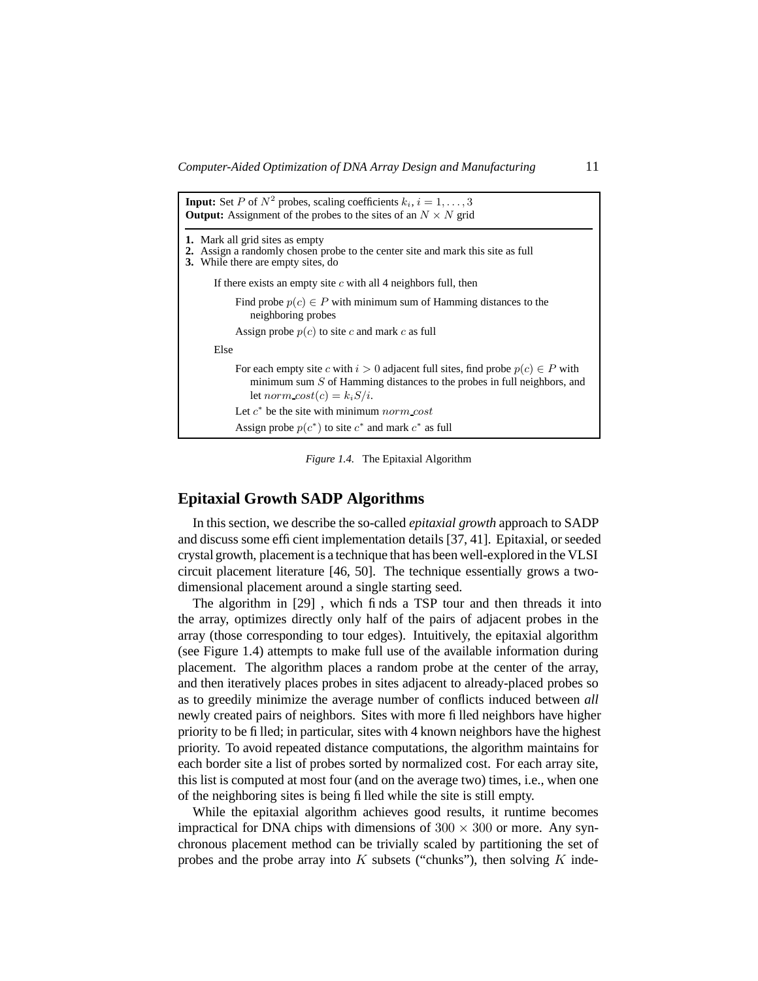| <b>Input:</b> Set P of $N^2$ probes, scaling coefficients $k_i$ , $i = 1, , 3$<br><b>Output:</b> Assignment of the probes to the sites of an $N \times N$ grid                                      |  |  |  |  |  |  |  |  |  |
|-----------------------------------------------------------------------------------------------------------------------------------------------------------------------------------------------------|--|--|--|--|--|--|--|--|--|
| <b>1.</b> Mark all grid sites as empty<br>2. Assign a randomly chosen probe to the center site and mark this site as full<br>3. While there are empty sites, do                                     |  |  |  |  |  |  |  |  |  |
| If there exists an empty site $c$ with all 4 neighbors full, then                                                                                                                                   |  |  |  |  |  |  |  |  |  |
| Find probe $p(c) \in P$ with minimum sum of Hamming distances to the<br>neighboring probes                                                                                                          |  |  |  |  |  |  |  |  |  |
| Assign probe $p(c)$ to site c and mark c as full                                                                                                                                                    |  |  |  |  |  |  |  |  |  |
| Else                                                                                                                                                                                                |  |  |  |  |  |  |  |  |  |
| For each empty site c with $i > 0$ adjacent full sites, find probe $p(c) \in P$ with<br>minimum sum $S$ of Hamming distances to the probes in full neighbors, and<br>let norm $cost(c) = k_i S/i$ . |  |  |  |  |  |  |  |  |  |
| Let $c^*$ be the site with minimum norm cost                                                                                                                                                        |  |  |  |  |  |  |  |  |  |
| Assign probe $p(c^*)$ to site $c^*$ and mark $c^*$ as full                                                                                                                                          |  |  |  |  |  |  |  |  |  |

*Figure 1.4.* The Epitaxial Algorithm

## **Epitaxial Growth SADP Algorithms**

In this section, we describe the so-called *epitaxial growth* approach to SADP and discuss some efficient implementation details [37, 41]. Epitaxial, or seeded crystal growth, placement is a technique that has been well-explored in the VLSI circuit placement literature [46, 50]. The technique essentially grows a twodimensional placement around a single starting seed.

The algorithm in [29] , which finds a TSP tour and then threads it into the array, optimizes directly only half of the pairs of adjacent probes in the array (those corresponding to tour edges). Intuitively, the epitaxial algorithm (see Figure 1.4) attempts to make full use of the available information during placement. The algorithm places a random probe at the center of the array, and then iteratively places probes in sites adjacent to already-placed probes so as to greedily minimize the average number of conflicts induced between *all* newly created pairs of neighbors. Sites with more filled neighbors have higher priority to be filled; in particular, sites with 4 known neighbors have the highest priority. To avoid repeated distance computations, the algorithm maintains for each border site a list of probes sorted by normalized cost. For each array site, this list is computed at most four (and on the average two) times, i.e., when one of the neighboring sites is being filled while the site is still empty.

While the epitaxial algorithm achieves good results, it runtime becomes impractical for DNA chips with dimensions of  $300 \times 300$  or more. Any synchronous placement method can be trivially scaled by partitioning the set of probes and the probe array into K subsets ("chunks"), then solving K inde-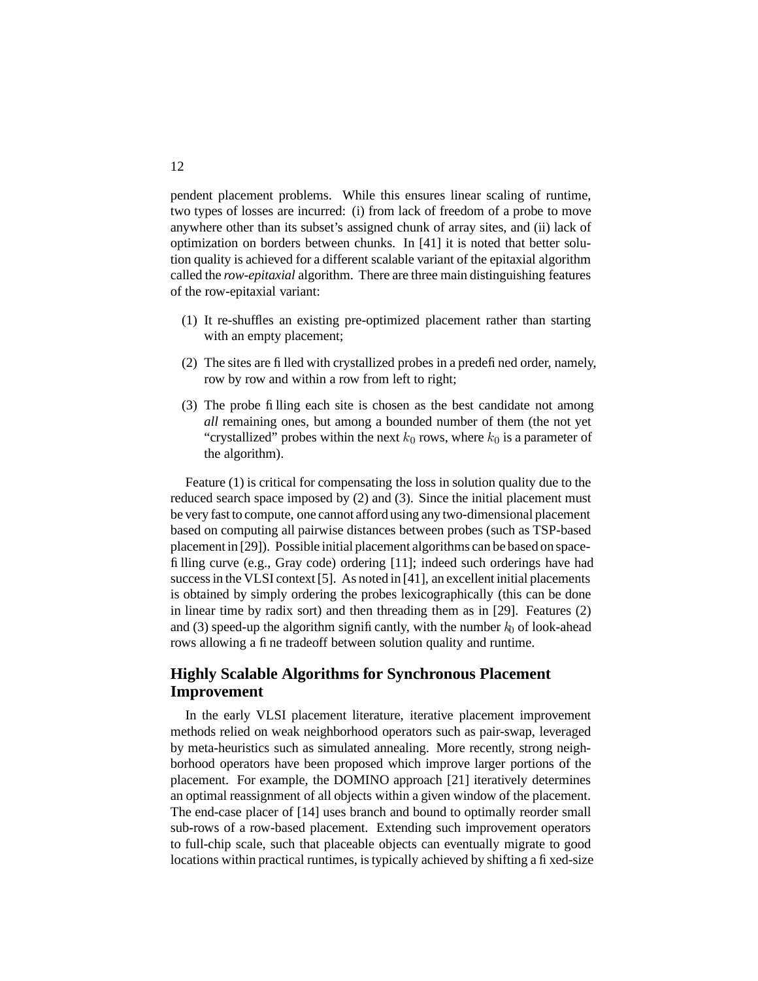pendent placement problems. While this ensures linear scaling of runtime, two types of losses are incurred: (i) from lack of freedom of a probe to move anywhere other than its subset's assigned chunk of array sites, and (ii) lack of optimization on borders between chunks. In [41] it is noted that better solution quality is achieved for a different scalable variant of the epitaxial algorithm called the *row-epitaxial* algorithm. There are three main distinguishing features of the row-epitaxial variant:

- (1) It re-shuffles an existing pre-optimized placement rather than starting with an empty placement;
- (2) The sites are filled with crystallized probes in a predefined order, namely, row by row and within a row from left to right;
- (3) The probe filling each site is chosen as the best candidate not among *all* remaining ones, but among a bounded number of them (the not yet "crystallized" probes within the next  $k_0$  rows, where  $k_0$  is a parameter of the algorithm).

Feature (1) is critical for compensating the loss in solution quality due to the reduced search space imposed by (2) and (3). Since the initial placement must be very fast to compute, one cannot afford using any two-dimensional placement based on computing all pairwise distances between probes (such as TSP-based placement in [29]). Possible initial placement algorithms can be based on spacefilling curve (e.g., Gray code) ordering [11]; indeed such orderings have had success in the VLSI context [5]. As noted in [41], an excellent initial placements is obtained by simply ordering the probes lexicographically (this can be done in linear time by radix sort) and then threading them as in [29]. Features (2) and (3) speed-up the algorithm significantly, with the number  $k_0$  of look-ahead rows allowing a fine tradeoff between solution quality and runtime.

## **Highly Scalable Algorithms for Synchronous Placement Improvement**

In the early VLSI placement literature, iterative placement improvement methods relied on weak neighborhood operators such as pair-swap, leveraged by meta-heuristics such as simulated annealing. More recently, strong neighborhood operators have been proposed which improve larger portions of the placement. For example, the DOMINO approach [21] iteratively determines an optimal reassignment of all objects within a given window of the placement. The end-case placer of [14] uses branch and bound to optimally reorder small sub-rows of a row-based placement. Extending such improvement operators to full-chip scale, such that placeable objects can eventually migrate to good locations within practical runtimes, istypically achieved by shifting a fixed-size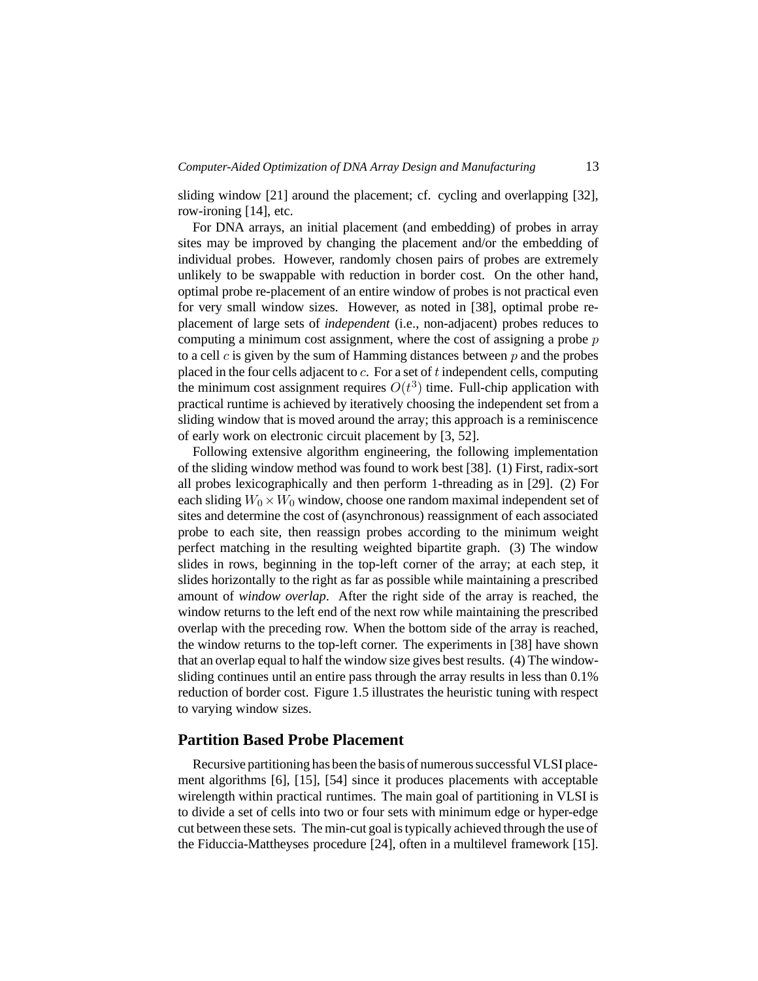sliding window [21] around the placement; cf. cycling and overlapping [32], row-ironing [14], etc.

For DNA arrays, an initial placement (and embedding) of probes in array sites may be improved by changing the placement and/or the embedding of individual probes. However, randomly chosen pairs of probes are extremely unlikely to be swappable with reduction in border cost. On the other hand, optimal probe re-placement of an entire window of probes is not practical even for very small window sizes. However, as noted in [38], optimal probe replacement of large sets of *independent* (i.e., non-adjacent) probes reduces to computing a minimum cost assignment, where the cost of assigning a probe  $p$ to a cell  $c$  is given by the sum of Hamming distances between  $p$  and the probes placed in the four cells adjacent to  $c$ . For a set of  $t$  independent cells, computing the minimum cost assignment requires  $O(t^3)$  time. Full-chip application with practical runtime is achieved by iteratively choosing the independent set from a sliding window that is moved around the array; this approach is a reminiscence of early work on electronic circuit placement by [3, 52].

Following extensive algorithm engineering, the following implementation of the sliding window method was found to work best [38]. (1) First, radix-sort all probes lexicographically and then perform 1-threading as in [29]. (2) For each sliding  $W_0 \times W_0$  window, choose one random maximal independent set of sites and determine the cost of (asynchronous) reassignment of each associated probe to each site, then reassign probes according to the minimum weight perfect matching in the resulting weighted bipartite graph. (3) The window slides in rows, beginning in the top-left corner of the array; at each step, it slides horizontally to the right as far as possible while maintaining a prescribed amount of *window overlap*. After the right side of the array is reached, the window returns to the left end of the next row while maintaining the prescribed overlap with the preceding row. When the bottom side of the array is reached, the window returns to the top-left corner. The experiments in [38] have shown that an overlap equal to half the window size gives best results. (4) The windowsliding continues until an entire pass through the array results in less than 0.1% reduction of border cost. Figure 1.5 illustrates the heuristic tuning with respect to varying window sizes.

#### **Partition Based Probe Placement**

Recursive partitioning has been the basis of numeroussuccessful VLSI placement algorithms [6], [15], [54] since it produces placements with acceptable wirelength within practical runtimes. The main goal of partitioning in VLSI is to divide a set of cells into two or four sets with minimum edge or hyper-edge cut between these sets. The min-cut goal istypically achieved through the use of the Fiduccia-Mattheyses procedure [24], often in a multilevel framework [15].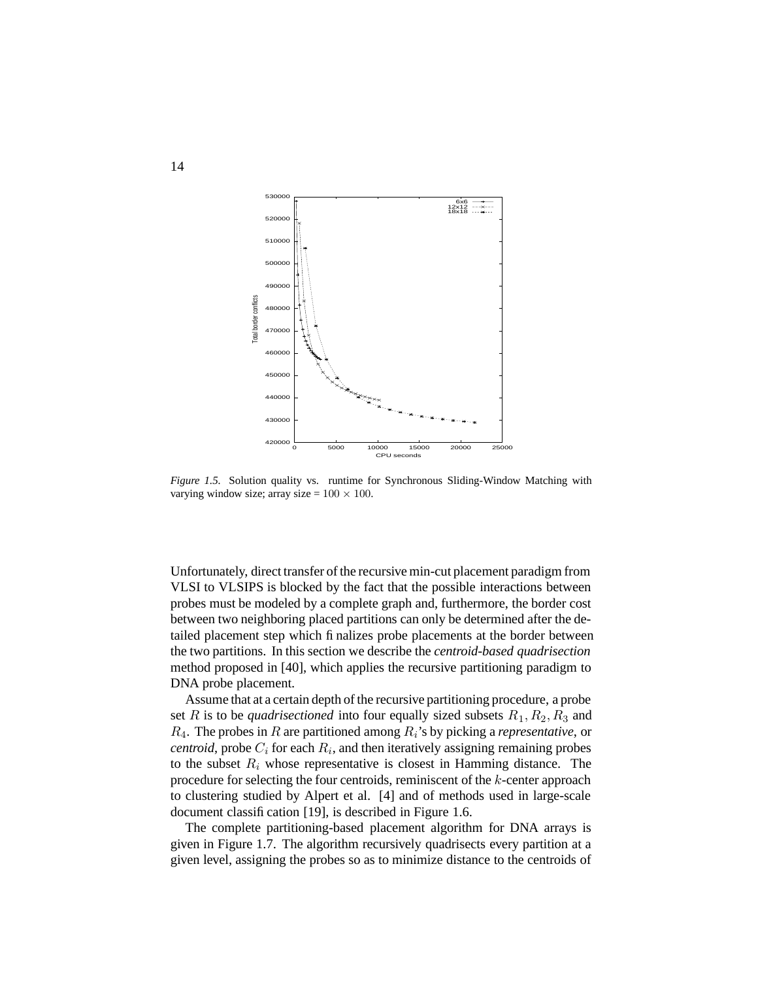

*Figure 1.5.* Solution quality vs. runtime for Synchronous Sliding-Window Matching with varying window size; array size =  $100 \times 100$ .

Unfortunately, direct transfer of the recursive min-cut placement paradigm from VLSI to VLSIPS is blocked by the fact that the possible interactions between probes must be modeled by a complete graph and, furthermore, the border cost between two neighboring placed partitions can only be determined after the detailed placement step which finalizes probe placements at the border between the two partitions. In this section we describe the *centroid-based quadrisection* method proposed in [40], which applies the recursive partitioning paradigm to DNA probe placement.

Assume that at a certain depth of the recursive partitioning procedure, a probe set R is to be *quadrisectioned* into four equally sized subsets  $R_1, R_2, R_3$  and R4. The probes in R are partitioned among Ri's by picking a *representative*, or *centroid*, probe  $C_i$  for each  $R_i$ , and then iteratively assigning remaining probes to the subset  $R_i$  whose representative is closest in Hamming distance. The procedure for selecting the four centroids, reminiscent of the k-center approach to clustering studied by Alpert et al. [4] and of methods used in large-scale document classification [19], is described in Figure 1.6.

The complete partitioning-based placement algorithm for DNA arrays is given in Figure 1.7. The algorithm recursively quadrisects every partition at a given level, assigning the probes so as to minimize distance to the centroids of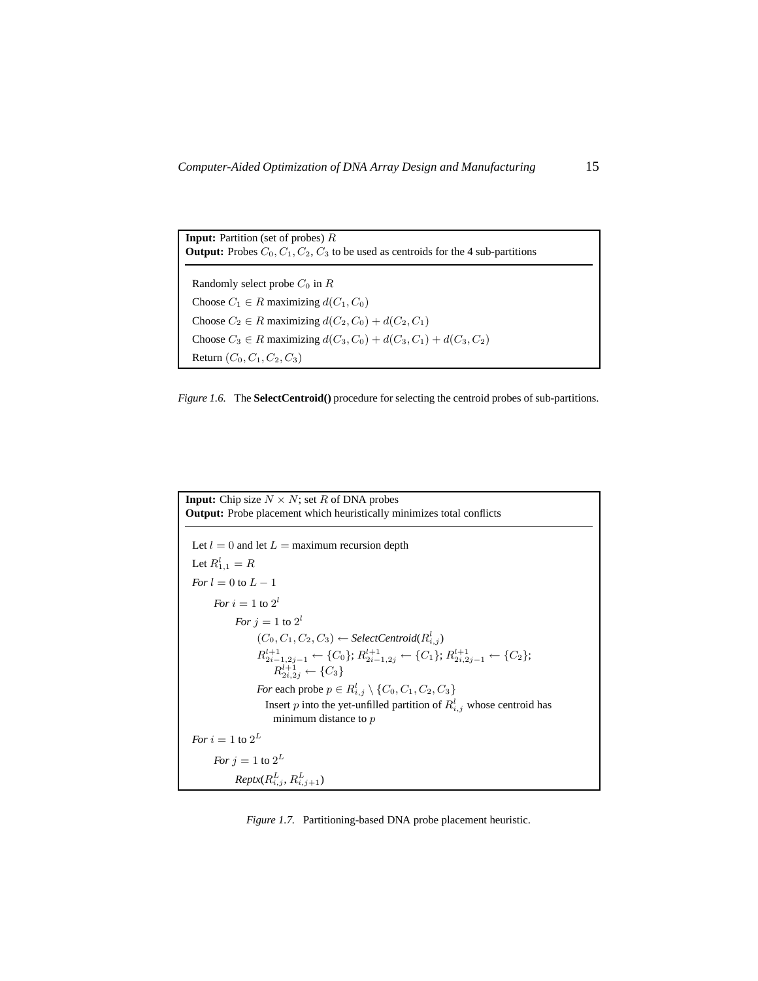**Input:** Partition (set of probes) R **Output:** Probes  $C_0$ ,  $C_1$ ,  $C_2$ ,  $C_3$  to be used as centroids for the 4 sub-partitions Randomly select probe  $C_0$  in  $R$ Choose  $C_1 \in R$  maximizing  $d(C_1, C_0)$ Choose  $C_2 \in R$  maximizing  $d(C_2, C_0) + d(C_2, C_1)$ Choose  $C_3 \in R$  maximizing  $d(C_3, C_0) + d(C_3, C_1) + d(C_3, C_2)$ Return  $(C_0, C_1, C_2, C_3)$ 

*Figure 1.6.* The **SelectCentroid()** procedure for selecting the centroid probes of sub-partitions.

**Input:** Chip size  $N \times N$ ; set R of DNA probes **Output:** Probe placement which heuristically minimizes total conflicts Let  $l = 0$  and let  $L =$  maximum recursion depth Let  $R_{1,1}^l = R$ *For*  $l = 0$  to  $L - 1$ *For*  $i = 1$  to  $2^l$ *For*  $j = 1$  to  $2^l$  $(C_0, C_1, C_2, C_3) \leftarrow SelectCentroid(R_{i,j}^l)$  $R^{l+1}_{2i-1,2j-1} \leftarrow \{C_0\}; R^{l+1}_{2i-1,2j} \leftarrow \{C_1\}; R^{l+1}_{2i,2j-1} \leftarrow \{C_2\};$  $R_{2i,2j}^{l+1} \leftarrow \{C_3\}$ *For* each probe  $p \in R_{i,j}^l \setminus \{C_0, C_1, C_2, C_3\}$ Insert p into the yet-unfilled partition of  $R_{i,j}^l$  whose centroid has minimum distance to p *For*  $i = 1$  to  $2^L$ *For*  $j = 1$  to  $2^L$  $Reptx(R_{i,j}^L, R_{i,j+1}^L)$ 

*Figure 1.7.* Partitioning-based DNA probe placement heuristic.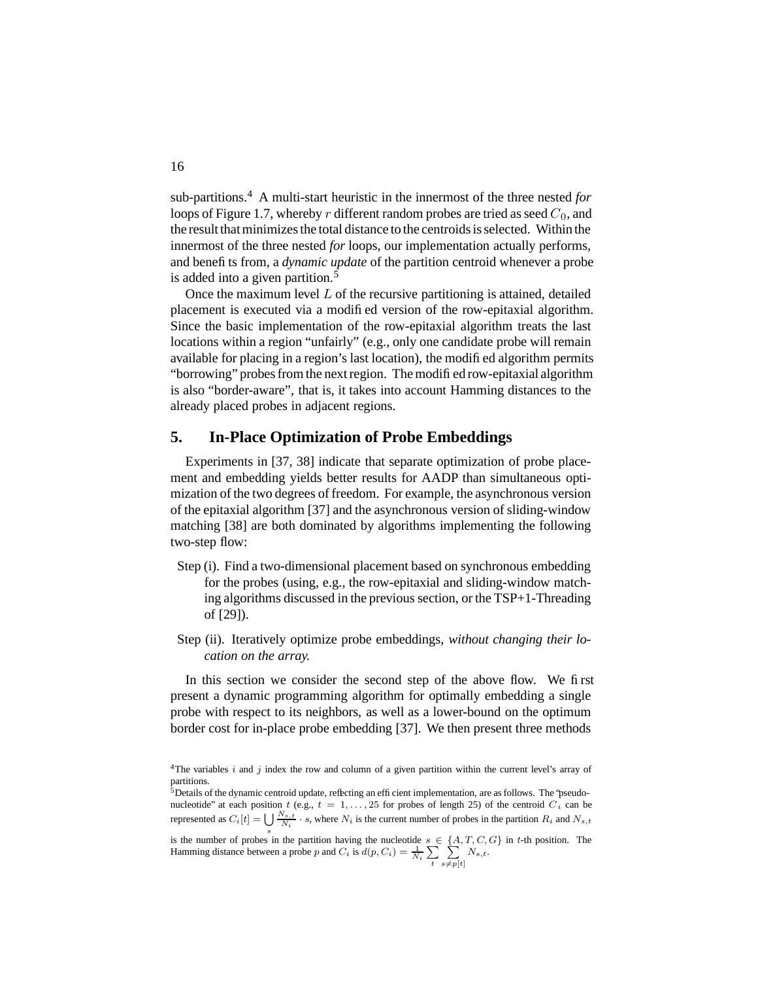sub-partitions.<sup>4</sup> A multi-start heuristic in the innermost of the three nested *for* loops of Figure 1.7, whereby r different random probes are tried as seed  $C_0$ , and the result that minimizes the total distance to the centroids is selected. Within the innermost of the three nested *for* loops, our implementation actually performs, and benefits from, a *dynamic update* of the partition centroid whenever a probe is added into a given partition.<sup>5</sup>

Once the maximum level  $L$  of the recursive partitioning is attained, detailed placement is executed via a modified version of the row-epitaxial algorithm. Since the basic implementation of the row-epitaxial algorithm treats the last locations within a region "unfairly" (e.g., only one candidate probe will remain available for placing in a region's last location), the modified algorithm permits "borrowing" probes from the next region. The modified row-epitaxial algorithm is also "border-aware", that is, it takes into account Hamming distances to the already placed probes in adjacent regions.

### **5. In-Place Optimization of Probe Embeddings**

Experiments in [37, 38] indicate that separate optimization of probe placement and embedding yields better results for AADP than simultaneous optimization of the two degrees of freedom. For example, the asynchronous version of the epitaxial algorithm [37] and the asynchronous version of sliding-window matching [38] are both dominated by algorithms implementing the following two-step flow:

- Step (i). Find a two-dimensional placement based on synchronous embedding for the probes (using, e.g., the row-epitaxial and sliding-window matching algorithms discussed in the previous section, or the TSP+1-Threading of [29]).
- Step (ii). Iteratively optimize probe embeddings, *without changing their location on the array.*

In this section we consider the second step of the above flow. We first present a dynamic programming algorithm for optimally embedding a single probe with respect to its neighbors, as well as a lower-bound on the optimum border cost for in-place probe embedding [37]. We then present three methods

<sup>&</sup>lt;sup>4</sup>The variables  $i$  and  $j$  index the row and column of a given partition within the current level's array of partitions.

<sup>&</sup>lt;sup>5</sup>Details of the dynamic centroid update, reflecting an efficient implementation, are as follows. The "pseudonucleotide" at each position  $t$  (e.g.,  $t = 1, \ldots, 25$  for probes of length 25) of the centroid  $C_i$  can be represented as  $C_i[t] = \bigcup \frac{N_{s,t}}{N_i} \cdot s$ , where  $N_i$  is the current number of probes in the partition  $R_i$  and  $N_{s,t}$ 

is the number of probes in the partition having the nucleotide  $s \in \{A, T, C, G\}$  in t-th position. The Hamming distance between a probe p and  $C_i$  is  $d(p, C_i) = \frac{1}{N_i} \sum_{s \neq p[t]}^{N} \sum_{s,t}^{N} N_{s,t}$ .  $N_{s,t}$ .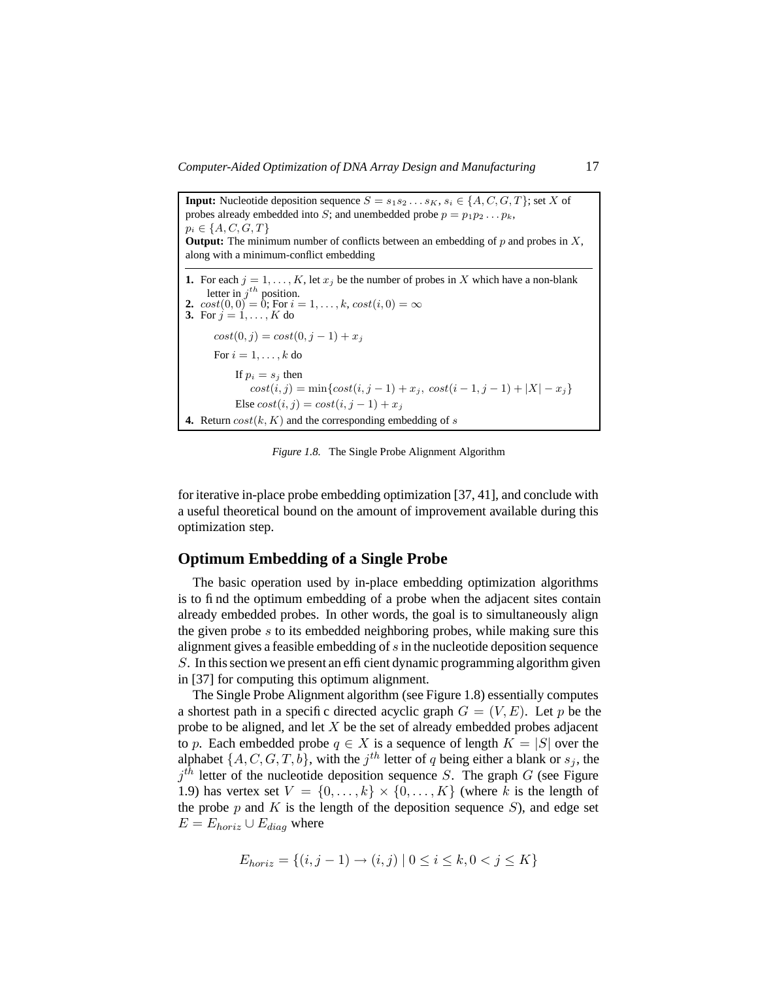**Input:** Nucleotide deposition sequence  $S = s_1 s_2 \dots s_K$ ,  $s_i \in \{A, C, G, T\}$ ; set X of probes already embedded into S; and unembedded probe  $p = p_1p_2 \ldots p_k$ ,  $p_i \in \{A, C, G, T\}$ **Output:** The minimum number of conflicts between an embedding of  $p$  and probes in  $X$ , along with a minimum-conflict embedding **1.** For each  $j = 1, ..., K$ , let  $x_j$  be the number of probes in X which have a non-blank letter in  $j^{th}$  position. **2.**  $cost(0, 0) = 0$ ; For  $i = 1, ..., k$ ,  $cost(i, 0) = \infty$ **3.** For  $j = 1, ..., K$  do  $cost(0, j) = cost(0, j - 1) + x_j$ For  $i = 1, \ldots, k$  do If  $p_i = s_j$  then  $\cos(t, j) = \min\{\cos t(i, j - 1) + x_j, \, \cos t(i - 1, j - 1) + |X| - x_j\}$ Else  $cost(i, j) = cost(i, j - 1) + x_j$ **4.** Return  $cost(k, K)$  and the corresponding embedding of s

*Figure 1.8.* The Single Probe Alignment Algorithm

for iterative in-place probe embedding optimization [37, 41], and conclude with a useful theoretical bound on the amount of improvement available during this optimization step.

## **Optimum Embedding of a Single Probe**

The basic operation used by in-place embedding optimization algorithms is to find the optimum embedding of a probe when the adjacent sites contain already embedded probes. In other words, the goal is to simultaneously align the given probe s to its embedded neighboring probes, while making sure this alignment gives a feasible embedding of s in the nucleotide deposition sequence S. In this section we present an efficient dynamic programming algorithm given in [37] for computing this optimum alignment.

The Single Probe Alignment algorithm (see Figure 1.8) essentially computes a shortest path in a specific directed acyclic graph  $G = (V, E)$ . Let p be the probe to be aligned, and let  $X$  be the set of already embedded probes adjacent to p. Each embedded probe  $q \in X$  is a sequence of length  $K = |S|$  over the alphabet  $\{A, C, G, T, b\}$ , with the  $j<sup>th</sup>$  letter of q being either a blank or  $s_j$ , the  $j<sup>th</sup>$  letter of the nucleotide deposition sequence S. The graph G (see Figure 1.9) has vertex set  $V = \{0, \ldots, k\} \times \{0, \ldots, K\}$  (where k is the length of the probe  $p$  and  $K$  is the length of the deposition sequence  $S$ ), and edge set  $E = E_{horiz} \cup E_{diag}$  where

$$
E_{horiz} = \{(i, j - 1) \to (i, j) \mid 0 \le i \le k, 0 < j \le K\}
$$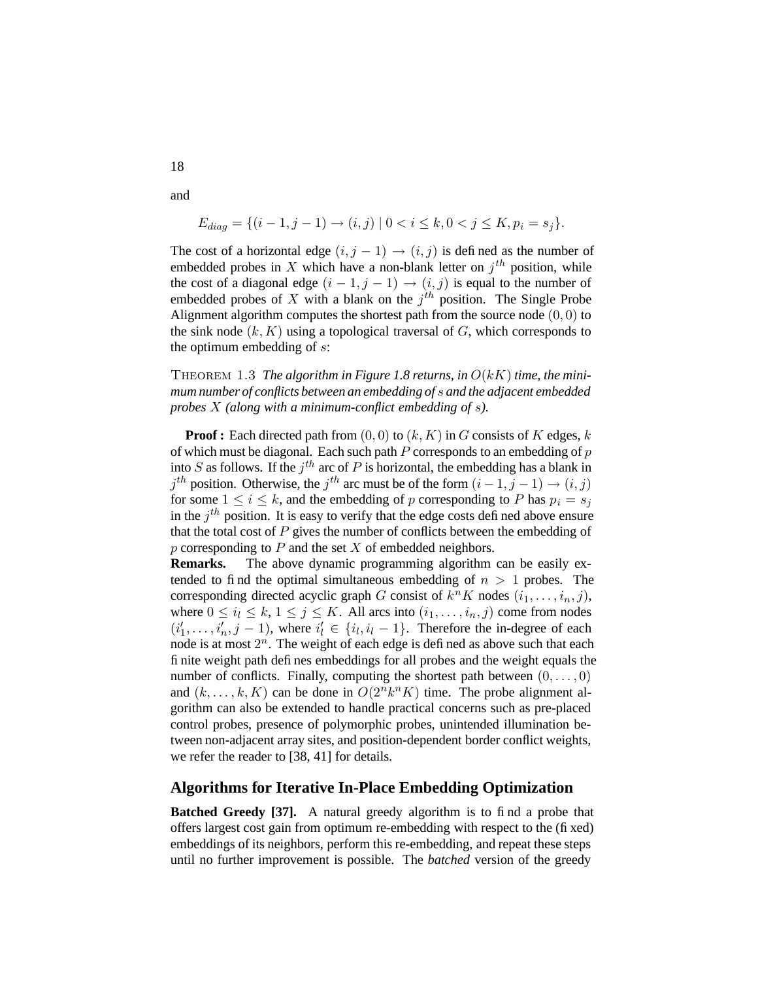$$
E_{diag} = \{(i-1, j-1) \to (i, j) \mid 0 < i \leq k, 0 < j \leq K, p_i = s_j\}.
$$

The cost of a horizontal edge  $(i, j - 1) \rightarrow (i, j)$  is defined as the number of embedded probes in X which have a non-blank letter on  $j<sup>th</sup>$  position, while the cost of a diagonal edge  $(i - 1, j - 1) \rightarrow (i, j)$  is equal to the number of embedded probes of X with a blank on the  $j<sup>th</sup>$  position. The Single Probe Alignment algorithm computes the shortest path from the source node  $(0, 0)$  to the sink node  $(k, K)$  using a topological traversal of G, which corresponds to the optimum embedding of s:

THEOREM 1.3 *The algorithm in Figure 1.8 returns, in*  $O(kK)$  *time, the minimum number of conflicts between an embedding of* s *and the adjacent embedded probes* X *(along with a minimum-conflict embedding of* s*).*

**Proof** : Each directed path from  $(0, 0)$  to  $(k, K)$  in G consists of K edges, k of which must be diagonal. Each such path  $P$  corresponds to an embedding of  $p$ into S as follows. If the  $j^{th}$  arc of P is horizontal, the embedding has a blank in  $j^{th}$  position. Otherwise, the  $j^{th}$  arc must be of the form  $(i-1, j-1) \rightarrow (i, j)$ for some  $1 \leq i \leq k$ , and the embedding of p corresponding to P has  $p_i = s_i$ in the  $j<sup>th</sup>$  position. It is easy to verify that the edge costs defined above ensure that the total cost of  $P$  gives the number of conflicts between the embedding of  $p$  corresponding to  $P$  and the set  $X$  of embedded neighbors.

**Remarks.** The above dynamic programming algorithm can be easily extended to find the optimal simultaneous embedding of  $n > 1$  probes. The corresponding directed acyclic graph G consist of  $k^n K$  nodes  $(i_1, \ldots, i_n, j)$ , where  $0 \le i_l \le k$ ,  $1 \le j \le K$ . All arcs into  $(i_1, \ldots, i_n, j)$  come from nodes  $(i'_1, \ldots, i'_n, j-1)$ , where  $i'_l \in \{i_l, i_l-1\}$ . Therefore the in-degree of each node is at most  $2^n$ . The weight of each edge is defined as above such that each finite weight path defines embeddings for all probes and the weight equals the number of conflicts. Finally, computing the shortest path between  $(0, \ldots, 0)$ and  $(k, \ldots, k, K)$  can be done in  $O(2^n k^n K)$  time. The probe alignment algorithm can also be extended to handle practical concerns such as pre-placed control probes, presence of polymorphic probes, unintended illumination between non-adjacent array sites, and position-dependent border conflict weights, we refer the reader to [38, 41] for details.

#### **Algorithms for Iterative In-Place Embedding Optimization**

**Batched Greedy [37].** A natural greedy algorithm is to find a probe that offers largest cost gain from optimum re-embedding with respect to the (fixed) embeddings of its neighbors, perform this re-embedding, and repeat these steps until no further improvement is possible. The *batched* version of the greedy

18 and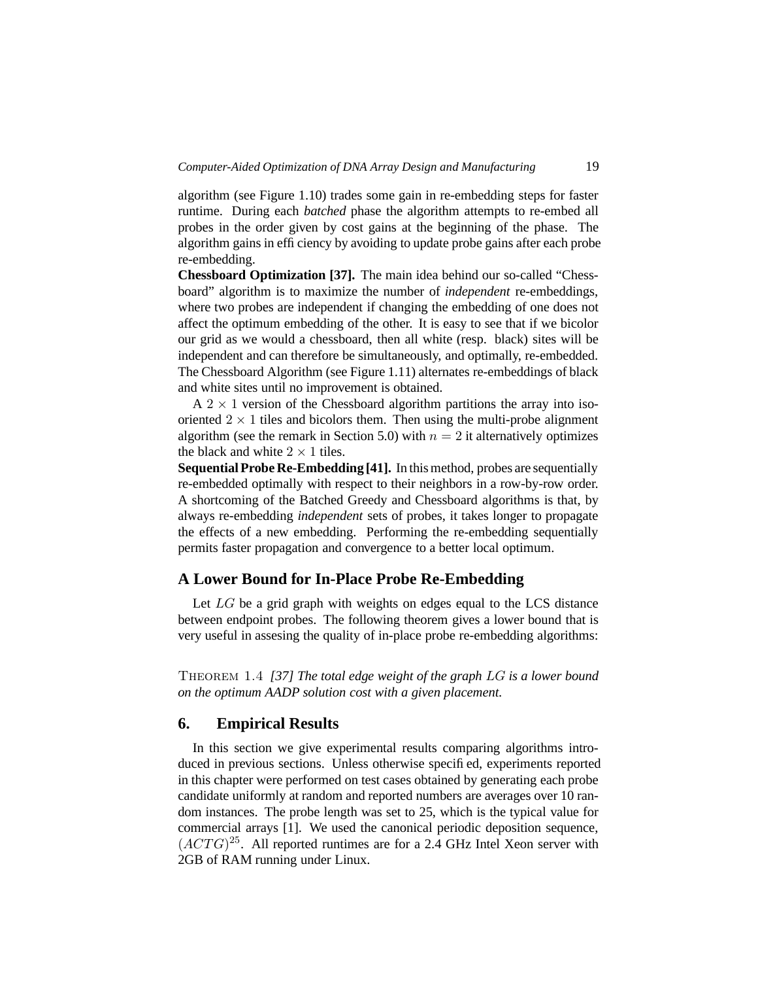algorithm (see Figure 1.10) trades some gain in re-embedding steps for faster runtime. During each *batched* phase the algorithm attempts to re-embed all probes in the order given by cost gains at the beginning of the phase. The algorithm gains in efficiency by avoiding to update probe gains after each probe re-embedding.

**Chessboard Optimization [37].** The main idea behind our so-called "Chessboard" algorithm is to maximize the number of *independent* re-embeddings, where two probes are independent if changing the embedding of one does not affect the optimum embedding of the other. It is easy to see that if we bicolor our grid as we would a chessboard, then all white (resp. black) sites will be independent and can therefore be simultaneously, and optimally, re-embedded. The Chessboard Algorithm (see Figure 1.11) alternates re-embeddings of black and white sites until no improvement is obtained.

 $A$  2  $\times$  1 version of the Chessboard algorithm partitions the array into isooriented  $2 \times 1$  tiles and bicolors them. Then using the multi-probe alignment algorithm (see the remark in Section 5.0) with  $n = 2$  it alternatively optimizes the black and white  $2 \times 1$  tiles.

**Sequential Probe Re-Embedding [41].** In thismethod, probes are sequentially re-embedded optimally with respect to their neighbors in a row-by-row order. A shortcoming of the Batched Greedy and Chessboard algorithms is that, by always re-embedding *independent* sets of probes, it takes longer to propagate the effects of a new embedding. Performing the re-embedding sequentially permits faster propagation and convergence to a better local optimum.

## **A Lower Bound for In-Place Probe Re-Embedding**

Let LG be a grid graph with weights on edges equal to the LCS distance between endpoint probes. The following theorem gives a lower bound that is very useful in assesing the quality of in-place probe re-embedding algorithms:

Theorem 1.4 *[37] The total edge weight of the graph* LG *is a lower bound on the optimum AADP solution cost with a given placement.*

## **6. Empirical Results**

In this section we give experimental results comparing algorithms introduced in previous sections. Unless otherwise specified, experiments reported in this chapter were performed on test cases obtained by generating each probe candidate uniformly at random and reported numbers are averages over 10 random instances. The probe length was set to 25, which is the typical value for commercial arrays [1]. We used the canonical periodic deposition sequence,  $(ACTG)^{25}$ . All reported runtimes are for a 2.4 GHz Intel Xeon server with 2GB of RAM running under Linux.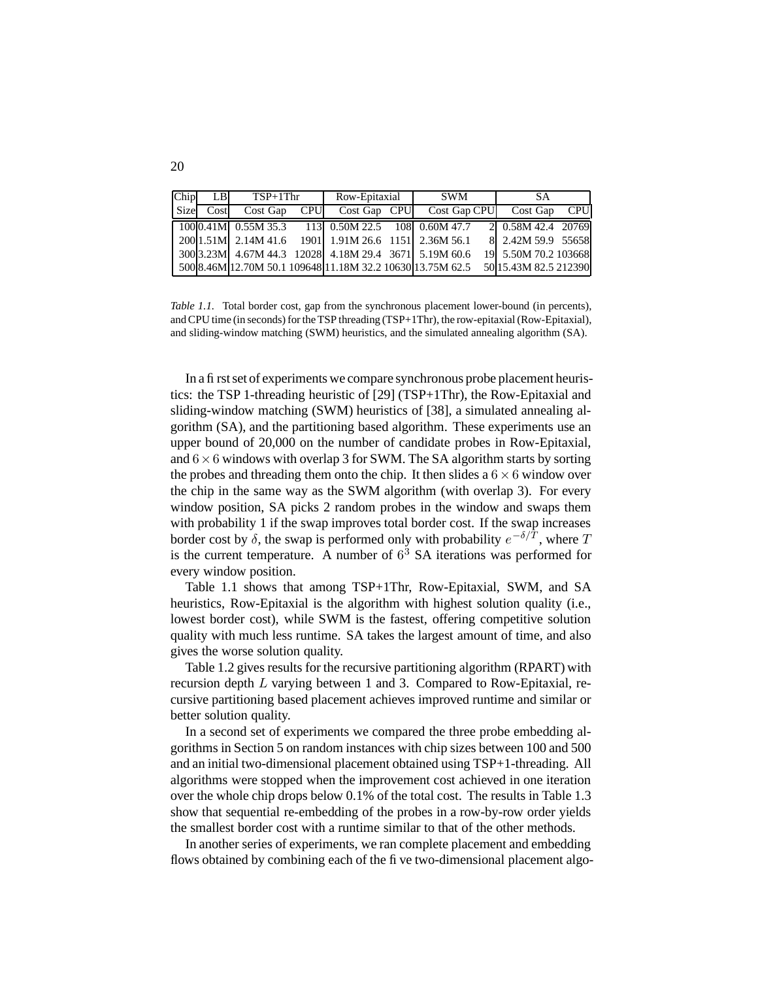| Chip        | LBI  | $TSP+1Thr$           |            | Row-Epitaxial                                              | SWM          | <b>SA</b>             |            |  |  |
|-------------|------|----------------------|------------|------------------------------------------------------------|--------------|-----------------------|------------|--|--|
| <b>Size</b> | Cost | Cost Gap             | <b>CPU</b> | Cost Gap CPU                                               | Cost Gap CPU | Cost Gap              | <b>CPU</b> |  |  |
|             |      |                      |            | 100 0.41 M 0.55 M 35.3 113 0.50 M 22.5 108 0.60 M 47.7     |              | 2 0.58M 42.4 20769    |            |  |  |
|             |      | 200 1.51M 2.14M 41.6 |            | 1901 1.91M 26.6 1151 2.36M 56.1                            |              | 8 2.42M 59.9 55658    |            |  |  |
|             |      |                      |            | 300 3.23M 4.67M 44.3 12028 4.18M 29.4 3671 5.19M 60.6      |              | 19 5.50M 70.2 103668  |            |  |  |
|             |      |                      |            | 500 8.46M 12.70M 50.1 109648 11.18M 32.2 10630 13.75M 62.5 |              | 50 15.43M 82.5 212390 |            |  |  |

*Table 1.1.* Total border cost, gap from the synchronous placement lower-bound (in percents), and CPU time (in seconds) for the TSP threading (TSP+1Thr), the row-epitaxial (Row-Epitaxial), and sliding-window matching (SWM) heuristics, and the simulated annealing algorithm (SA).

In a first set of experiments we compare synchronous probe placement heuristics: the TSP 1-threading heuristic of [29] (TSP+1Thr), the Row-Epitaxial and sliding-window matching (SWM) heuristics of [38], a simulated annealing algorithm (SA), and the partitioning based algorithm. These experiments use an upper bound of 20,000 on the number of candidate probes in Row-Epitaxial, and  $6 \times 6$  windows with overlap 3 for SWM. The SA algorithm starts by sorting the probes and threading them onto the chip. It then slides a  $6 \times 6$  window over the chip in the same way as the SWM algorithm (with overlap 3). For every window position, SA picks 2 random probes in the window and swaps them with probability 1 if the swap improves total border cost. If the swap increases border cost by  $\delta$ , the swap is performed only with probability  $e^{-\delta/T}$ , where T is the current temperature. A number of  $6<sup>3</sup>$  SA iterations was performed for every window position.

Table 1.1 shows that among TSP+1Thr, Row-Epitaxial, SWM, and SA heuristics, Row-Epitaxial is the algorithm with highest solution quality (i.e., lowest border cost), while SWM is the fastest, offering competitive solution quality with much less runtime. SA takes the largest amount of time, and also gives the worse solution quality.

Table 1.2 gives results for the recursive partitioning algorithm (RPART) with recursion depth L varying between 1 and 3. Compared to Row-Epitaxial, recursive partitioning based placement achieves improved runtime and similar or better solution quality.

In a second set of experiments we compared the three probe embedding algorithms in Section 5 on random instances with chip sizes between 100 and 500 and an initial two-dimensional placement obtained using TSP+1-threading. All algorithms were stopped when the improvement cost achieved in one iteration over the whole chip drops below 0.1% of the total cost. The results in Table 1.3 show that sequential re-embedding of the probes in a row-by-row order yields the smallest border cost with a runtime similar to that of the other methods.

In another series of experiments, we ran complete placement and embedding flows obtained by combining each of the five two-dimensional placement algo-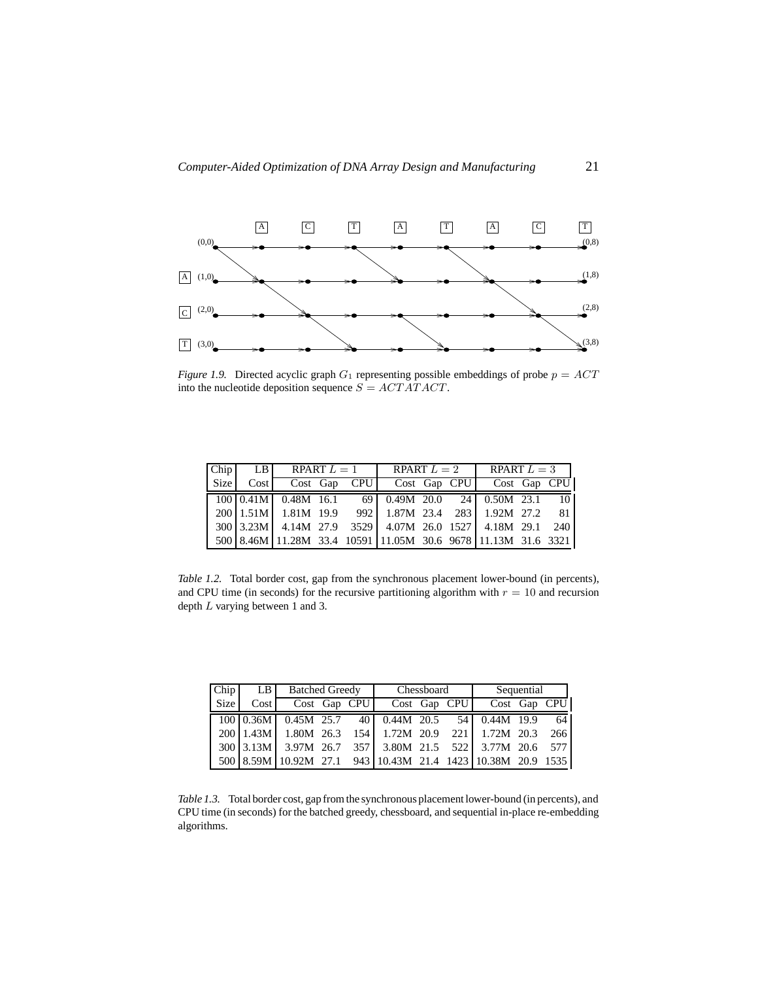

*Figure* 1.9. Directed acyclic graph  $G_1$  representing possible embeddings of probe  $p = ACT$ into the nucleotide deposition sequence  $S = ACTATACT$ .

|  | $ Chip $ LB RPART $L = 1$ RPART $L = 2$ RPART $L = 3$ |  |  |                                                                      |  |  |  |  |  |
|--|-------------------------------------------------------|--|--|----------------------------------------------------------------------|--|--|--|--|--|
|  |                                                       |  |  | Size Cost Cost Gap CPU Cost Gap CPU Cost Gap CPU                     |  |  |  |  |  |
|  |                                                       |  |  | $100 \mid 0.41M \mid 0.48M \mid 16.1$ 69 0.49M 20.0 24 0.50M 23.1 10 |  |  |  |  |  |
|  |                                                       |  |  | 200 1.51M 1.81M 19.9 992 1.87M 23.4 283 1.92M 27.2 81                |  |  |  |  |  |
|  |                                                       |  |  | 300 3.23M 4.14M 27.9 3529 4.07M 26.0 1527 4.18M 29.1 240             |  |  |  |  |  |
|  |                                                       |  |  | 500 8.46M 11.28M 33.4 10591 11.05M 30.6 9678 11.13M 31.6 3321        |  |  |  |  |  |

*Table 1.2.* Total border cost, gap from the synchronous placement lower-bound (in percents), and CPU time (in seconds) for the recursive partitioning algorithm with  $r = 10$  and recursion depth L varying between 1 and 3.

| Chip | LB Batched Greedy Chessboard                                |  |  | Sequential |  |     |  |
|------|-------------------------------------------------------------|--|--|------------|--|-----|--|
|      | Size Cost Cost Gap CPU Cost Gap CPU Cost Gap CPU            |  |  |            |  |     |  |
|      | $100 0.36M $ 0.45M 25.7 40 0.44M 20.5 54 0.44M 19.9 64      |  |  |            |  |     |  |
|      | 200 1.43M 1.80M 26.3 154 1.72M 20.9 221 1.72M 20.3          |  |  |            |  | 266 |  |
|      | 300 3.13M 3.97M 26.7 357 3.80M 21.5 522 3.77M 20.6 577      |  |  |            |  |     |  |
|      | 500 8.59M 10.92M 27.1 943 10.43M 21.4 1423 10.38M 20.9 1535 |  |  |            |  |     |  |

*Table 1.3.* Total border cost, gap fromthe synchronous placement lower-bound (in percents), and CPU time (in seconds) for the batched greedy, chessboard, and sequential in-place re-embedding algorithms.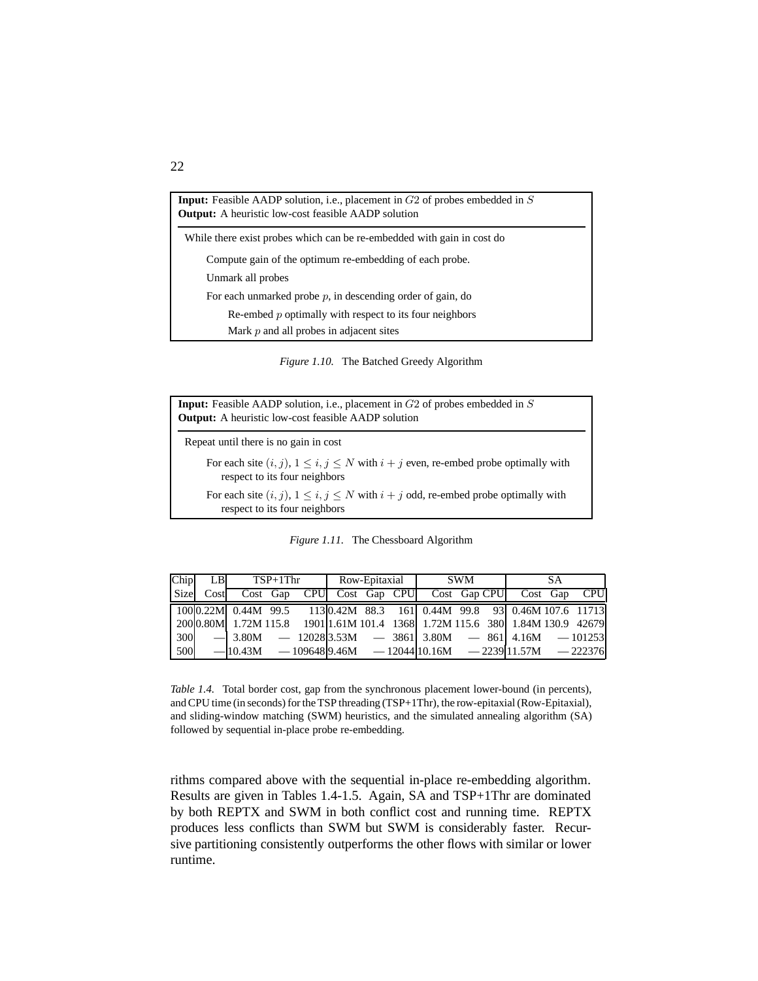| <b>Input:</b> Feasible AADP solution, i.e., placement in $G2$ of probes embedded in S<br><b>Output:</b> A heuristic low-cost feasible AADP solution |  |  |  |  |  |  |  |  |
|-----------------------------------------------------------------------------------------------------------------------------------------------------|--|--|--|--|--|--|--|--|
| While there exist probes which can be re-embedded with gain in cost do                                                                              |  |  |  |  |  |  |  |  |
| Compute gain of the optimum re-embedding of each probe.                                                                                             |  |  |  |  |  |  |  |  |
| Unmark all probes                                                                                                                                   |  |  |  |  |  |  |  |  |
| For each unmarked probe $p$ , in descending order of gain, do                                                                                       |  |  |  |  |  |  |  |  |
| Re-embed p optimally with respect to its four neighbors                                                                                             |  |  |  |  |  |  |  |  |
| Mark $p$ and all probes in adjacent sites                                                                                                           |  |  |  |  |  |  |  |  |

*Figure 1.10.* The Batched Greedy Algorithm

| <b>Input:</b> Feasible AADP solution, i.e., placement in $G2$ of probes embedded in S<br><b>Output:</b> A heuristic low-cost feasible AADP solution |
|-----------------------------------------------------------------------------------------------------------------------------------------------------|
| Repeat until there is no gain in cost                                                                                                               |
| For each site $(i, j)$ , $1 \le i, j \le N$ with $i + j$ even, re-embed probe optimally with<br>respect to its four neighbors                       |
| For each site $(i, j)$ , $1 \le i, j \le N$ with $i + j$ odd, re-embed probe optimally with<br>respect to its four neighbors                        |

|  | <i>Figure 1.11.</i> The Chessboard Algorithm |  |
|--|----------------------------------------------|--|
|--|----------------------------------------------|--|

| Chip        | LB   | $TSP+1Thr$                                                                   |  |  | Row-Epitaxial |  |  |                                                     | SWM | <b>SA</b> |  |  |
|-------------|------|------------------------------------------------------------------------------|--|--|---------------|--|--|-----------------------------------------------------|-----|-----------|--|--|
| <b>Size</b> | Cost |                                                                              |  |  |               |  |  | Cost Gap CPU Cost Gap CPU Cost Gap CPU Cost Gap CPU |     |           |  |  |
|             |      | 100 0.22M 0.44M 99.5 113 0.42M 88.3 161 0.44M 99.8 93 0.46M 107.6 11713      |  |  |               |  |  |                                                     |     |           |  |  |
|             |      | 2000.80M 1.72M 115.8 1901 1.61M 101.4 1368 1.72M 115.6 380 1.84M 130.9 42679 |  |  |               |  |  |                                                     |     |           |  |  |
| 300         |      | $-$ 3.80M $-$ 12028 3.53M $-$ 3861 3.80M $-$ 861 4.16M $-$ 101253            |  |  |               |  |  |                                                     |     |           |  |  |
| 500         |      | $-10.43M - 1096489.46M - 1204410.16M - 223911.57M - 222376$                  |  |  |               |  |  |                                                     |     |           |  |  |

*Table 1.4.* Total border cost, gap from the synchronous placement lower-bound (in percents), and CPU time (in seconds) for the TSP threading (TSP+1Thr), the row-epitaxial (Row-Epitaxial), and sliding-window matching (SWM) heuristics, and the simulated annealing algorithm (SA) followed by sequential in-place probe re-embedding.

rithms compared above with the sequential in-place re-embedding algorithm. Results are given in Tables 1.4-1.5. Again, SA and TSP+1Thr are dominated by both REPTX and SWM in both conflict cost and running time. REPTX produces less conflicts than SWM but SWM is considerably faster. Recursive partitioning consistently outperforms the other flows with similar or lower runtime.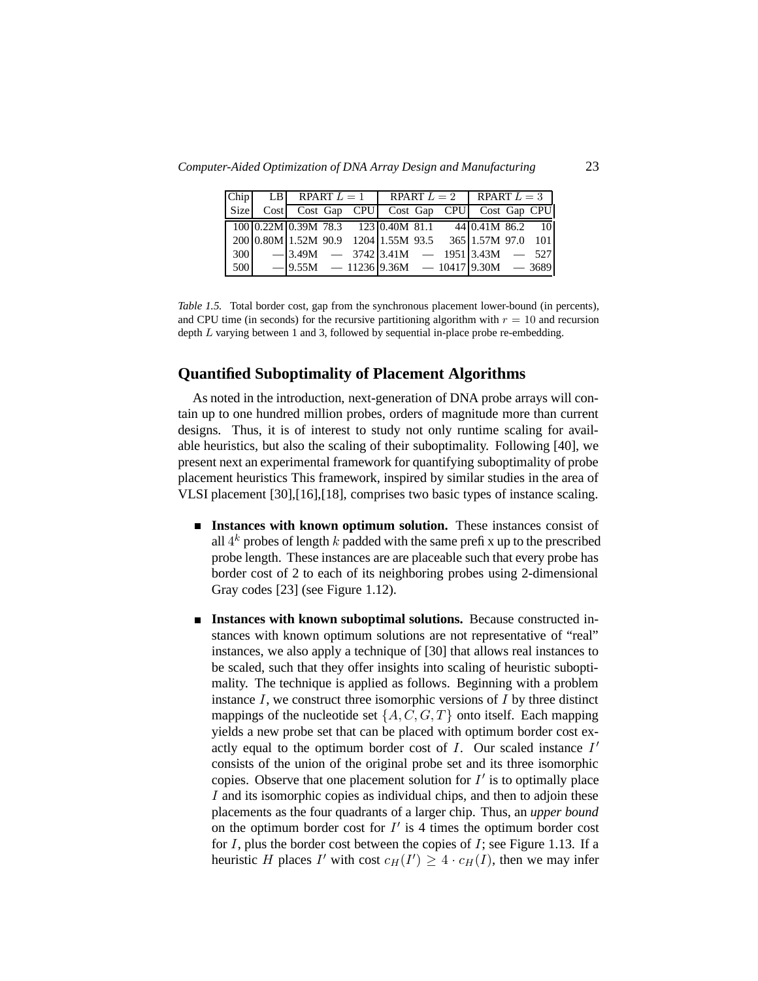*Computer-Aided Optimization of DNA Array Design and Manufacturing* 23

|     |                                                         | $ Chip $ LB RPART $L = 1$ RPART $L = 2$ RPART $L = 3$ |  |  |  |                                                    |  |  |  |
|-----|---------------------------------------------------------|-------------------------------------------------------|--|--|--|----------------------------------------------------|--|--|--|
|     | Size Cost Cost Gap CPU Cost Gap CPU Cost Gap CPU        |                                                       |  |  |  |                                                    |  |  |  |
|     | $100 0.22M 0.39M$ 78.3 123 0.40M 81.1 44 0.41M 86.2 10  |                                                       |  |  |  |                                                    |  |  |  |
|     | 200 0.80M 1.52M 90.9 1204 1.55M 93.5 365 1.57M 97.0 101 |                                                       |  |  |  |                                                    |  |  |  |
|     | $300$ - 3.49M - 3742 3.41M - 1951 3.43M - 527           |                                                       |  |  |  |                                                    |  |  |  |
| 500 |                                                         |                                                       |  |  |  | $-$ 9.55M $-$ 11236 9.36M $-$ 10417 9.30M $-$ 3689 |  |  |  |

*Table 1.5.* Total border cost, gap from the synchronous placement lower-bound (in percents), and CPU time (in seconds) for the recursive partitioning algorithm with  $r = 10$  and recursion depth L varying between 1 and 3, followed by sequential in-place probe re-embedding.

## **Quantified Suboptimality of Placement Algorithms**

As noted in the introduction, next-generation of DNA probe arrays will contain up to one hundred million probes, orders of magnitude more than current designs. Thus, it is of interest to study not only runtime scaling for available heuristics, but also the scaling of their suboptimality. Following [40], we present next an experimental framework for quantifying suboptimality of probe placement heuristics This framework, inspired by similar studies in the area of VLSI placement [30],[16],[18], comprises two basic types of instance scaling.

- **Instances with known optimum solution.** These instances consist of all  $4^k$  probes of length  $k$  padded with the same prefix up to the prescribed probe length. These instances are are placeable such that every probe has border cost of 2 to each of its neighboring probes using 2-dimensional Gray codes [23] (see Figure 1.12).
- **Instances with known suboptimal solutions.** Because constructed instances with known optimum solutions are not representative of "real" instances, we also apply a technique of [30] that allows real instances to be scaled, such that they offer insights into scaling of heuristic suboptimality. The technique is applied as follows. Beginning with a problem instance  $I$ , we construct three isomorphic versions of  $I$  by three distinct mappings of the nucleotide set  $\{A, C, G, T\}$  onto itself. Each mapping yields a new probe set that can be placed with optimum border cost exactly equal to the optimum border cost of  $I$ . Our scaled instance  $I'$ consists of the union of the original probe set and its three isomorphic copies. Observe that one placement solution for  $I'$  is to optimally place  $I$  and its isomorphic copies as individual chips, and then to adjoin these placements as the four quadrants of a larger chip. Thus, an *upper bound* on the optimum border cost for  $I'$  is 4 times the optimum border cost for  $I$ , plus the border cost between the copies of  $I$ ; see Figure 1.13. If a heuristic H places I' with cost  $c_H(I') \geq 4 \cdot c_H(I)$ , then we may infer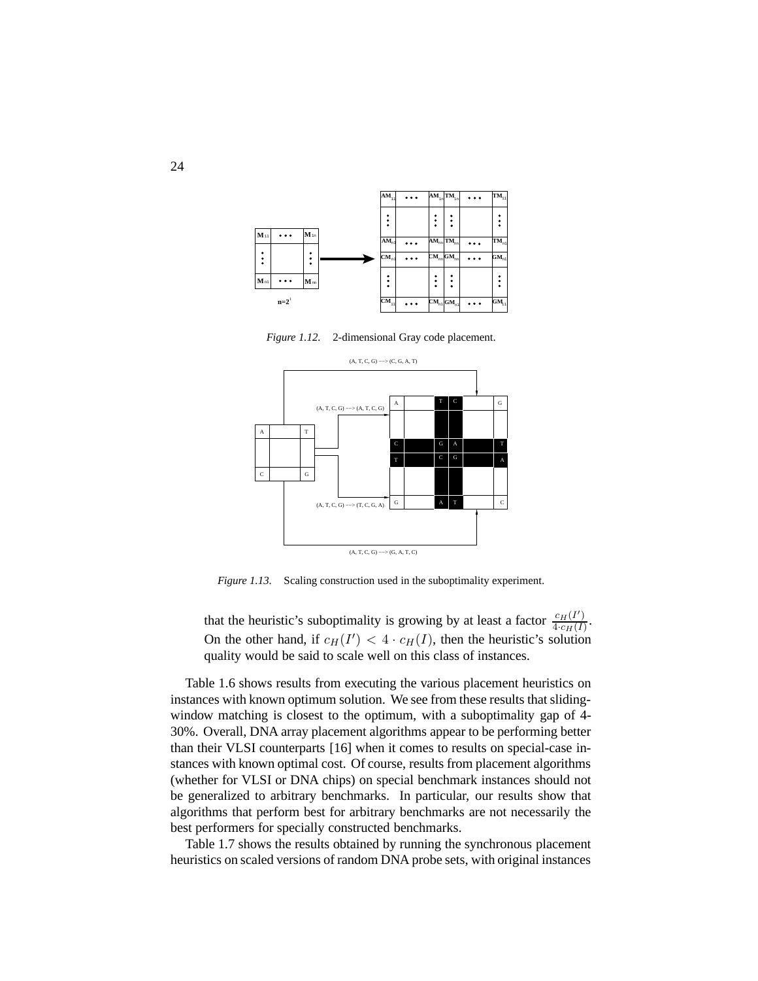

*Figure 1.12.* 2-dimensional Gray code placement.



*Figure 1.13.* Scaling construction used in the suboptimality experiment.

that the heuristic's suboptimality is growing by at least a factor  $\frac{c_H(I')}{4c_H(I')}$  $\frac{c_H(I)}{4 \cdot c_H(I)}$ . On the other hand, if  $c_H(I') < 4 \cdot c_H(I)$ , then the heuristic's solution quality would be said to scale well on this class of instances.

Table 1.6 shows results from executing the various placement heuristics on instances with known optimum solution. We see from these results that slidingwindow matching is closest to the optimum, with a suboptimality gap of 4- 30%. Overall, DNA array placement algorithms appear to be performing better than their VLSI counterparts [16] when it comes to results on special-case instances with known optimal cost. Of course, results from placement algorithms (whether for VLSI or DNA chips) on special benchmark instances should not be generalized to arbitrary benchmarks. In particular, our results show that algorithms that perform best for arbitrary benchmarks are not necessarily the best performers for specially constructed benchmarks.

Table 1.7 shows the results obtained by running the synchronous placement heuristics on scaled versions of random DNA probe sets, with original instances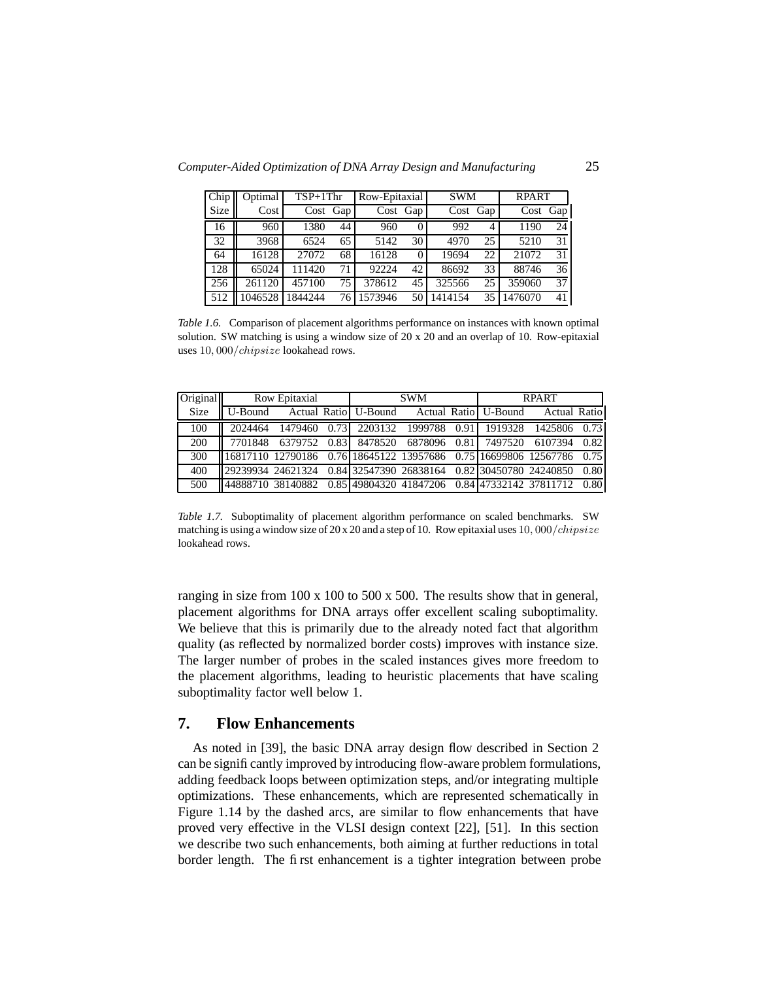*Computer-Aided Optimization of DNA Array Design and Manufacturing* 25

| Chip | Optimal | $TSP+1Thr$ |    | Row-Epitaxial |          | <b>SWM</b> |            | <b>RPART</b> |    |
|------|---------|------------|----|---------------|----------|------------|------------|--------------|----|
| Size | Cost    | Cost Gap   |    | Cost Gap      |          |            | $Cost$ Gap | Cost Gap     |    |
| 16   | 960     | 1380       | 44 | 960           | $\Omega$ | 992        | 4          | 1190         | 24 |
| 32   | 3968    | 6524       | 65 | 5142          | 30       | 4970       | 25         | 5210         | 31 |
| 64   | 16128   | 27072      | 68 | 16128         | $\Omega$ | 19694      | 22         | 21072        | 31 |
| 128  | 65024   | 111420     | 71 | 92224         | 42       | 86692      | 33         | 88746        | 36 |
| 256  | 261120  | 457100     | 75 | 378612        | 45       | 325566     | 25         | 359060       | 37 |
| 512  | 1046528 | 844244     | 76 | 1573946       | 50       | 1414154    | 35         | 1476070      | 41 |

*Table 1.6.* Comparison of placement algorithms performance on instances with known optimal solution. SW matching is using a window size of 20 x 20 and an overlap of 10. Row-epitaxial uses 10, 000/chipsize lookahead rows.

| Original    |                                                                                  | Row Epitaxial |                      | <b>SWM</b>                | <b>RPART</b>         |                      |      |  |
|-------------|----------------------------------------------------------------------------------|---------------|----------------------|---------------------------|----------------------|----------------------|------|--|
| <b>Size</b> | U-Bound                                                                          |               | Actual Ratio U-Bound |                           | Actual Ratio U-Bound | <b>Actual Ratio</b>  |      |  |
| 100         | 2024464                                                                          | 1479460       |                      | 0.73 2203132 1999788 0.91 |                      | 1919328 1425806 0.73 |      |  |
| 200         | ll 7701848 6379752 0.83  8478520 6878096 0.81  7497520 6107394 0.82              |               |                      |                           |                      |                      |      |  |
| 300         | $\parallel$ 16817110 12790186 0.76 18645122 13957686 0.75 16699806 12567786 0.75 |               |                      |                           |                      |                      |      |  |
| 400         | 129239934 24621324 0.84132547390 26838164 0.82130450780 24240850                 |               |                      |                           |                      |                      | 0.80 |  |
| 500         | 144888710 38140882 0.85149804320 41847206 0.84147332142 37811712 0.80            |               |                      |                           |                      |                      |      |  |

*Table 1.7.* Suboptimality of placement algorithm performance on scaled benchmarks. SW matching is using a window size of 20 x 20 and a step of 10. Row epitaxial uses 10, 000/chipsize lookahead rows.

ranging in size from 100 x 100 to 500 x 500. The results show that in general, placement algorithms for DNA arrays offer excellent scaling suboptimality. We believe that this is primarily due to the already noted fact that algorithm quality (as reflected by normalized border costs) improves with instance size. The larger number of probes in the scaled instances gives more freedom to the placement algorithms, leading to heuristic placements that have scaling suboptimality factor well below 1.

## **7. Flow Enhancements**

As noted in [39], the basic DNA array design flow described in Section 2 can be significantly improved by introducing flow-aware problem formulations, adding feedback loops between optimization steps, and/or integrating multiple optimizations. These enhancements, which are represented schematically in Figure 1.14 by the dashed arcs, are similar to flow enhancements that have proved very effective in the VLSI design context [22], [51]. In this section we describe two such enhancements, both aiming at further reductions in total border length. The first enhancement is a tighter integration between probe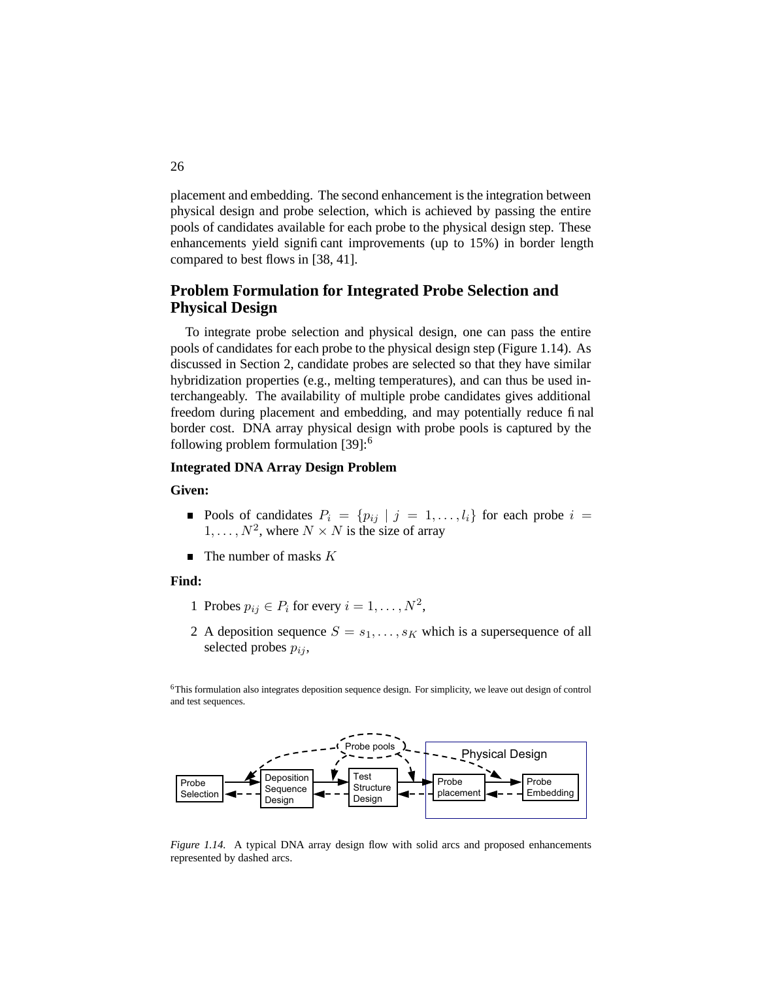placement and embedding. The second enhancement is the integration between physical design and probe selection, which is achieved by passing the entire pools of candidates available for each probe to the physical design step. These enhancements yield significant improvements (up to 15%) in border length compared to best flows in [38, 41].

## **Problem Formulation for Integrated Probe Selection and Physical Design**

To integrate probe selection and physical design, one can pass the entire pools of candidates for each probe to the physical design step (Figure 1.14). As discussed in Section 2, candidate probes are selected so that they have similar hybridization properties (e.g., melting temperatures), and can thus be used interchangeably. The availability of multiple probe candidates gives additional freedom during placement and embedding, and may potentially reduce final border cost. DNA array physical design with probe pools is captured by the following problem formulation [39]:<sup>6</sup>

#### **Integrated DNA Array Design Problem**

#### **Given:**

- Pools of candidates  $P_i = \{p_{ij} | j = 1, ..., l_i\}$  for each probe  $i =$  $1, \ldots, N^2$ , where  $N \times N$  is the size of array
- $\blacksquare$  The number of masks K

#### **Find:**

- 1 Probes  $p_{ij} \in P_i$  for every  $i = 1, \dots, N^2$ ,
- 2 A deposition sequence  $S = s_1, \ldots, s_K$  which is a supersequence of all selected probes  $p_{ij}$ ,

<sup>6</sup>This formulation also integrates deposition sequence design. For simplicity, we leave out design of control and test sequences.



*Figure 1.14.* A typical DNA array design flow with solid arcs and proposed enhancements represented by dashed arcs.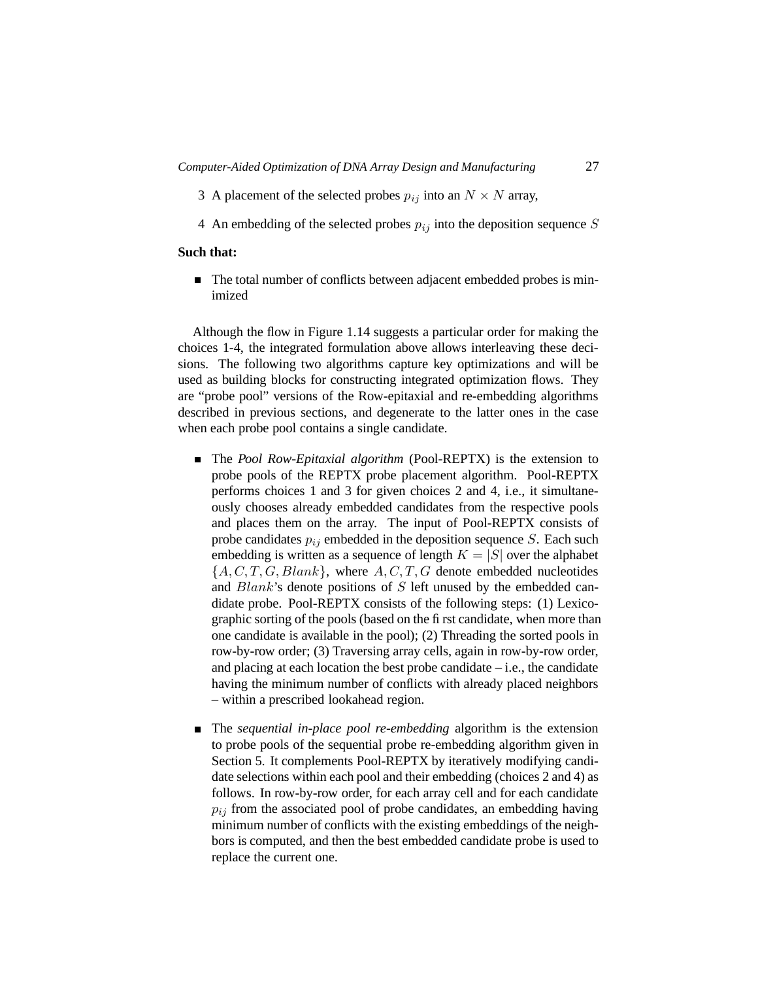- 3 A placement of the selected probes  $p_{ij}$  into an  $N \times N$  array,
- 4 An embedding of the selected probes  $p_{ij}$  into the deposition sequence S

#### **Such that:**

■ The total number of conflicts between adjacent embedded probes is minimized

Although the flow in Figure 1.14 suggests a particular order for making the choices 1-4, the integrated formulation above allows interleaving these decisions. The following two algorithms capture key optimizations and will be used as building blocks for constructing integrated optimization flows. They are "probe pool" versions of the Row-epitaxial and re-embedding algorithms described in previous sections, and degenerate to the latter ones in the case when each probe pool contains a single candidate.

- The *Pool Row-Epitaxial algorithm* (Pool-REPTX) is the extension to probe pools of the REPTX probe placement algorithm. Pool-REPTX performs choices 1 and 3 for given choices 2 and 4, i.e., it simultaneously chooses already embedded candidates from the respective pools and places them on the array. The input of Pool-REPTX consists of probe candidates  $p_{ij}$  embedded in the deposition sequence S. Each such embedding is written as a sequence of length  $K = |S|$  over the alphabet  $\{A, C, T, G, Blank\}$ , where  $A, C, T, G$  denote embedded nucleotides and  $Blank$ 's denote positions of  $S$  left unused by the embedded candidate probe. Pool-REPTX consists of the following steps: (1) Lexicographic sorting of the pools (based on the first candidate, when more than one candidate is available in the pool); (2) Threading the sorted pools in row-by-row order; (3) Traversing array cells, again in row-by-row order, and placing at each location the best probe candidate  $-$  i.e., the candidate having the minimum number of conflicts with already placed neighbors – within a prescribed lookahead region.
- The *sequential in-place pool re-embedding* algorithm is the extension to probe pools of the sequential probe re-embedding algorithm given in Section 5. It complements Pool-REPTX by iteratively modifying candidate selections within each pool and their embedding (choices 2 and 4) as follows. In row-by-row order, for each array cell and for each candidate  $p_{ij}$  from the associated pool of probe candidates, an embedding having minimum number of conflicts with the existing embeddings of the neighbors is computed, and then the best embedded candidate probe is used to replace the current one.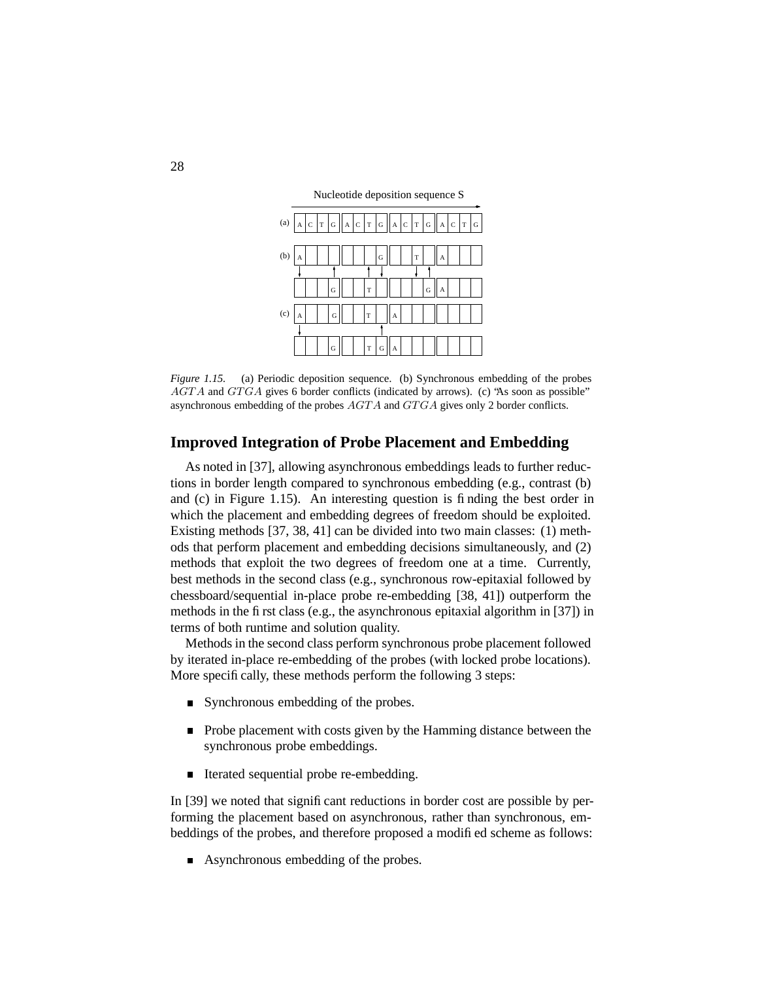

*Figure 1.15.* (a) Periodic deposition sequence. (b) Synchronous embedding of the probes  $AGTA$  and  $GTGA$  gives 6 border conflicts (indicated by arrows). (c) "As soon as possible" asynchronous embedding of the probes  $AGTA$  and  $GTGA$  gives only 2 border conflicts.

## **Improved Integration of Probe Placement and Embedding**

As noted in [37], allowing asynchronous embeddings leads to further reductions in border length compared to synchronous embedding (e.g., contrast (b) and (c) in Figure 1.15). An interesting question is finding the best order in which the placement and embedding degrees of freedom should be exploited. Existing methods [37, 38, 41] can be divided into two main classes: (1) methods that perform placement and embedding decisions simultaneously, and (2) methods that exploit the two degrees of freedom one at a time. Currently, best methods in the second class (e.g., synchronous row-epitaxial followed by chessboard/sequential in-place probe re-embedding [38, 41]) outperform the methods in the first class (e.g., the asynchronous epitaxial algorithm in [37]) in terms of both runtime and solution quality.

Methods in the second class perform synchronous probe placement followed by iterated in-place re-embedding of the probes (with locked probe locations). More specifically, these methods perform the following 3 steps:

- Synchronous embedding of the probes.
- Probe placement with costs given by the Hamming distance between the synchronous probe embeddings.
- $\blacksquare$ Iterated sequential probe re-embedding.

In [39] we noted that significant reductions in border cost are possible by performing the placement based on asynchronous, rather than synchronous, embeddings of the probes, and therefore proposed a modified scheme as follows:

Asynchronous embedding of the probes.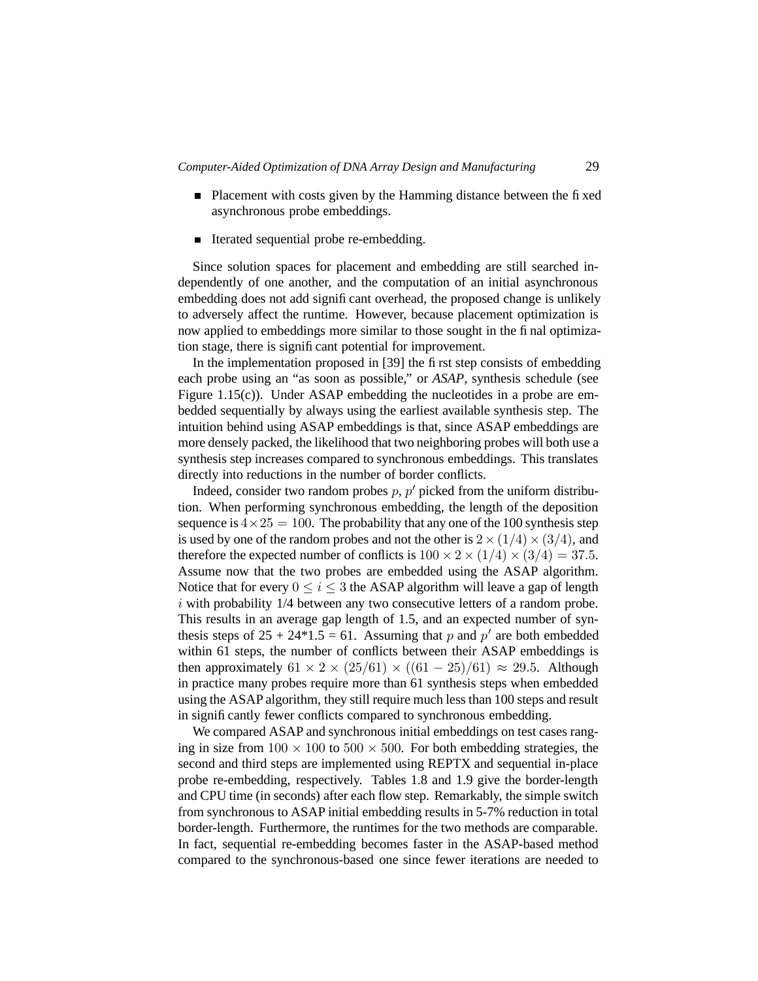- **Placement with costs given by the Hamming distance between the fixed** asynchronous probe embeddings.
- Iterated sequential probe re-embedding.

Since solution spaces for placement and embedding are still searched independently of one another, and the computation of an initial asynchronous embedding does not add significant overhead, the proposed change is unlikely to adversely affect the runtime. However, because placement optimization is now applied to embeddings more similar to those sought in the final optimization stage, there is significant potential for improvement.

In the implementation proposed in [39] the first step consists of embedding each probe using an "as soon as possible," or *ASAP*, synthesis schedule (see Figure 1.15(c)). Under ASAP embedding the nucleotides in a probe are embedded sequentially by always using the earliest available synthesis step. The intuition behind using ASAP embeddings is that, since ASAP embeddings are more densely packed, the likelihood that two neighboring probes will both use a synthesis step increases compared to synchronous embeddings. This translates directly into reductions in the number of border conflicts.

Indeed, consider two random probes  $p, p'$  picked from the uniform distribution. When performing synchronous embedding, the length of the deposition sequence is  $4 \times 25 = 100$ . The probability that any one of the 100 synthesis step is used by one of the random probes and not the other is  $2 \times (1/4) \times (3/4)$ , and therefore the expected number of conflicts is  $100 \times 2 \times (1/4) \times (3/4) = 37.5$ . Assume now that the two probes are embedded using the ASAP algorithm. Notice that for every  $0 \le i \le 3$  the ASAP algorithm will leave a gap of length  $i$  with probability  $1/4$  between any two consecutive letters of a random probe. This results in an average gap length of 1.5, and an expected number of synthesis steps of  $25 + 24*1.5 = 61$ . Assuming that p and p' are both embedded within 61 steps, the number of conflicts between their ASAP embeddings is then approximately  $61 \times 2 \times (25/61) \times ((61 - 25)/61) \approx 29.5$ . Although in practice many probes require more than 61 synthesis steps when embedded using the ASAP algorithm, they still require much less than 100 steps and result in significantly fewer conflicts compared to synchronous embedding.

We compared ASAP and synchronous initial embeddings on test cases ranging in size from  $100 \times 100$  to  $500 \times 500$ . For both embedding strategies, the second and third steps are implemented using REPTX and sequential in-place probe re-embedding, respectively. Tables 1.8 and 1.9 give the border-length and CPU time (in seconds) after each flow step. Remarkably, the simple switch from synchronous to ASAP initial embedding results in 5-7% reduction in total border-length. Furthermore, the runtimes for the two methods are comparable. In fact, sequential re-embedding becomes faster in the ASAP-based method compared to the synchronous-based one since fewer iterations are needed to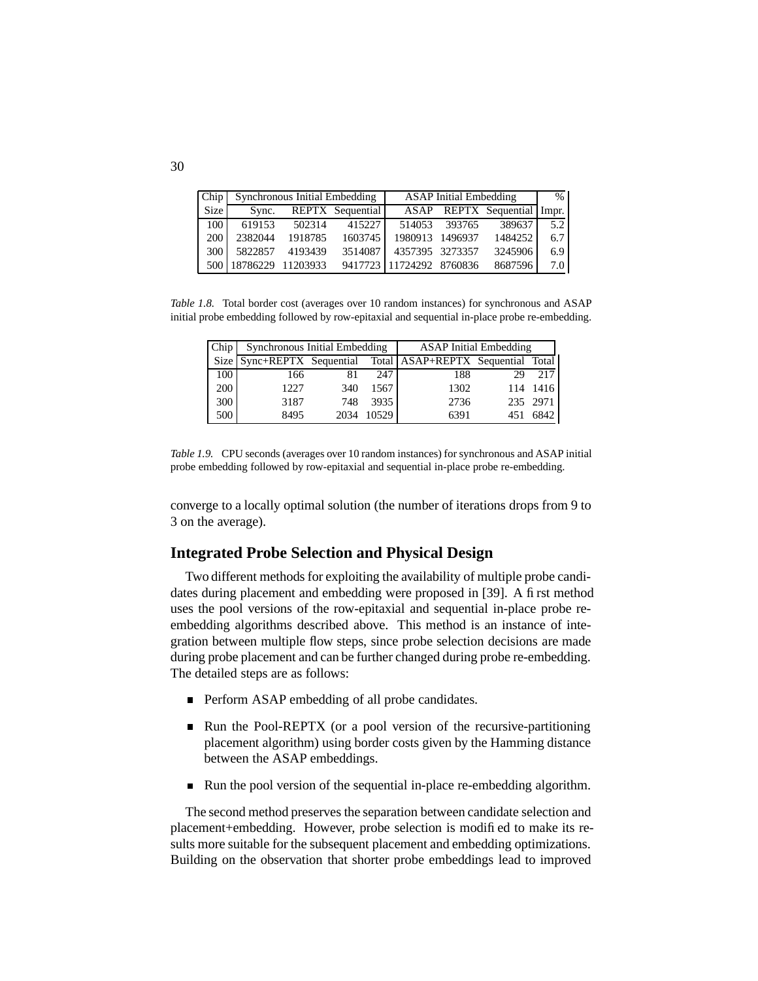| Chip             |                       | Synchronous Initial Embedding |                        |                          | <b>ASAP</b> Initial Embedding | $\%$                        |                  |
|------------------|-----------------------|-------------------------------|------------------------|--------------------------|-------------------------------|-----------------------------|------------------|
| <b>Size</b>      |                       |                               | Sync. REPTX Sequential |                          |                               | ASAP REPTX Sequential Impr. |                  |
| 100 <sup>1</sup> | 619153                | 502314                        | 415227                 |                          | 514053 393765                 | 389637                      | 5.2              |
| 200 <sub>1</sub> | 2382044               | 1918785                       | 1603745                | 1980913 1496937          |                               | 1484252                     | 6.7 <sup>1</sup> |
| 300 l            |                       | 5822857 4193439               |                        | 3514087 4357395 3273357  |                               | 3245906                     | 6.9 <sub>1</sub> |
|                  | 500 18786229 11203933 |                               |                        | 9417723 11724292 8760836 |                               | 8687596                     | 7.0 <sub>1</sub> |

*Table 1.8.* Total border cost (averages over 10 random instances) for synchronous and ASAP initial probe embedding followed by row-epitaxial and sequential in-place probe re-embedding.

| Chip             | <b>Synchronous Initial Embedding</b> |      |       | <b>ASAP</b> Initial Embedding                                |     |          |  |  |  |
|------------------|--------------------------------------|------|-------|--------------------------------------------------------------|-----|----------|--|--|--|
|                  |                                      |      |       | Size Sync+REPTX Sequential Total ASAP+REPTX Sequential Total |     |          |  |  |  |
| 100              | 166                                  | 81   | 247   | 188                                                          | 29  | 2.17     |  |  |  |
| 200              | 1227                                 | 340  | 1567  | 1302                                                         | 114 | 1416     |  |  |  |
| 300 <sub>1</sub> | 3187                                 | 748  | 3935  | 2736                                                         |     | 235 2971 |  |  |  |
| 500              | 8495                                 | 2034 | 10529 | 6391                                                         |     | 6842     |  |  |  |

*Table 1.9.* CPU seconds (averages over 10 random instances) for synchronous and ASAP initial probe embedding followed by row-epitaxial and sequential in-place probe re-embedding.

converge to a locally optimal solution (the number of iterations drops from 9 to 3 on the average).

## **Integrated Probe Selection and Physical Design**

Two different methods for exploiting the availability of multiple probe candidates during placement and embedding were proposed in [39]. A first method uses the pool versions of the row-epitaxial and sequential in-place probe reembedding algorithms described above. This method is an instance of integration between multiple flow steps, since probe selection decisions are made during probe placement and can be further changed during probe re-embedding. The detailed steps are as follows:

- **Perform ASAP embedding of all probe candidates.**
- Run the Pool-REPTX (or a pool version of the recursive-partitioning  $\blacksquare$ placement algorithm) using border costs given by the Hamming distance between the ASAP embeddings.
- $\blacksquare$ Run the pool version of the sequential in-place re-embedding algorithm.

The second method preserves the separation between candidate selection and placement+embedding. However, probe selection is modified to make its results more suitable for the subsequent placement and embedding optimizations. Building on the observation that shorter probe embeddings lead to improved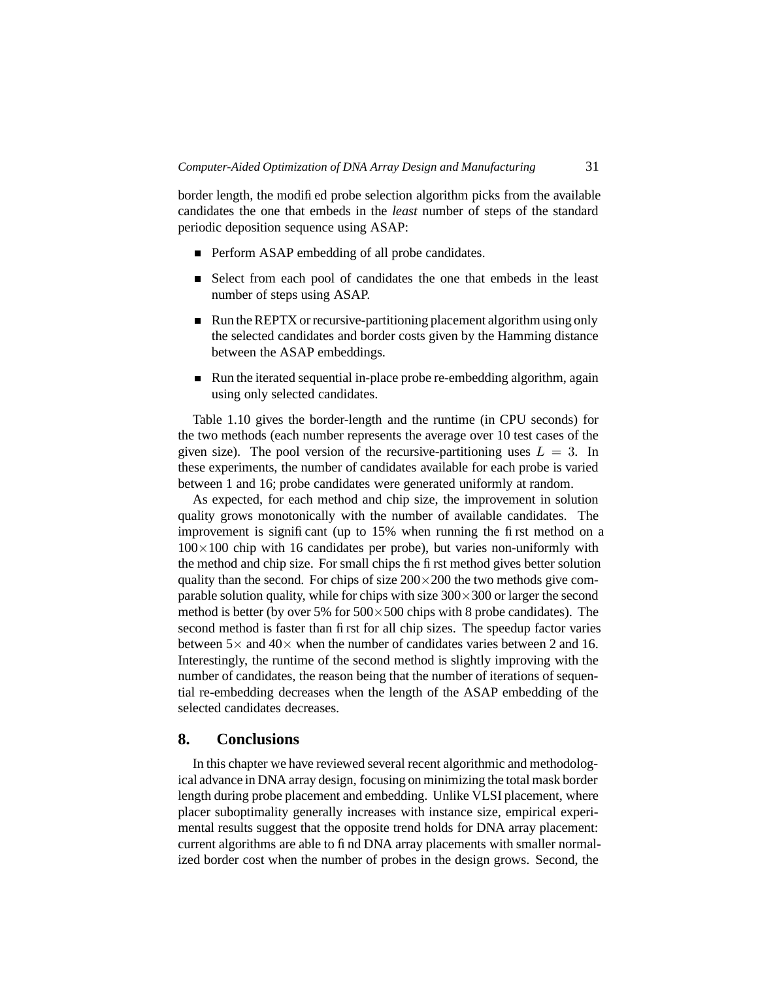border length, the modified probe selection algorithm picks from the available candidates the one that embeds in the *least* number of steps of the standard periodic deposition sequence using ASAP:

- **Perform ASAP embedding of all probe candidates.**
- Select from each pool of candidates the one that embeds in the least number of steps using ASAP.
- Run the REPTX or recursive-partitioning placement algorithmusing only the selected candidates and border costs given by the Hamming distance between the ASAP embeddings.
- Run the iterated sequential in-place probe re-embedding algorithm, again using only selected candidates.

Table 1.10 gives the border-length and the runtime (in CPU seconds) for the two methods (each number represents the average over 10 test cases of the given size). The pool version of the recursive-partitioning uses  $L = 3$ . In these experiments, the number of candidates available for each probe is varied between 1 and 16; probe candidates were generated uniformly at random.

As expected, for each method and chip size, the improvement in solution quality grows monotonically with the number of available candidates. The improvement is significant (up to 15% when running the first method on a  $100\times100$  chip with 16 candidates per probe), but varies non-uniformly with the method and chip size. For small chips the first method gives better solution quality than the second. For chips of size  $200 \times 200$  the two methods give comparable solution quality, while for chips with size  $300 \times 300$  or larger the second method is better (by over 5% for  $500 \times 500$  chips with 8 probe candidates). The second method is faster than first for all chip sizes. The speedup factor varies between  $5\times$  and  $40\times$  when the number of candidates varies between 2 and 16. Interestingly, the runtime of the second method is slightly improving with the number of candidates, the reason being that the number of iterations of sequential re-embedding decreases when the length of the ASAP embedding of the selected candidates decreases.

#### **8. Conclusions**

In this chapter we have reviewed several recent algorithmic and methodological advance in DNA array design, focusing on minimizing the total mask border length during probe placement and embedding. Unlike VLSI placement, where placer suboptimality generally increases with instance size, empirical experimental results suggest that the opposite trend holds for DNA array placement: current algorithms are able to find DNA array placements with smaller normalized border cost when the number of probes in the design grows. Second, the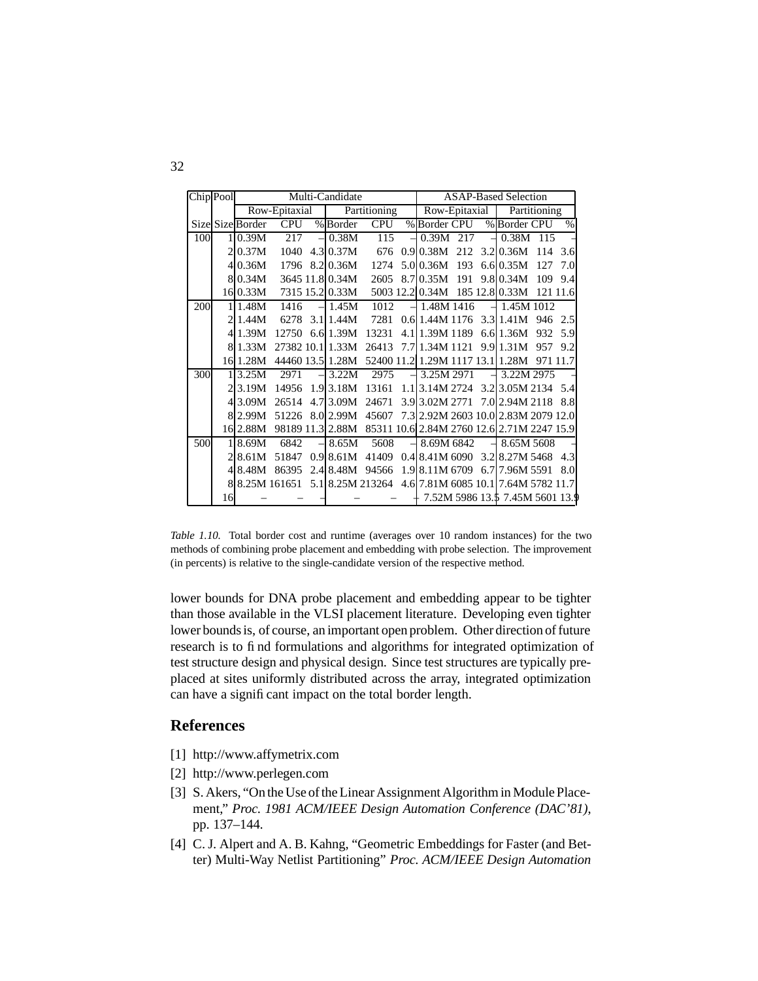| Chip Pool |                | Multi-Candidate  |              |  |                  |                  |               | <b>ASAP-Based Selection</b>                |     |              |                                 |     |          |
|-----------|----------------|------------------|--------------|--|------------------|------------------|---------------|--------------------------------------------|-----|--------------|---------------------------------|-----|----------|
|           |                | Row-Epitaxial    |              |  | Partitioning     |                  | Row-Epitaxial |                                            |     | Partitioning |                                 |     |          |
|           |                | Size Size Border | <b>CPU</b>   |  | % Border         | <b>CPU</b>       |               | % Border CPU                               |     |              | % Border CPU                    |     | $\%$     |
| 100       |                | 1 0.39M          | 217          |  | 0.38M            | 115              |               | 0.39M                                      | 217 |              | 0.38M                           | 115 |          |
|           | $\overline{2}$ | 0.37M            | 1040         |  | 4.3 0.37M        | 676              |               | 0.9 0.38M                                  | 212 | 3.2          | 0.36M                           | 114 | 3.6      |
|           |                | 4 0.36M          | 1796         |  | $8.2 \, 0.36 M$  | 1274             |               | 5.0 0.36M                                  | 193 |              | 6.60.35M                        | 127 | 7.0      |
|           | 8              | 0.34M            |              |  | 3645 11.8 0.34M  | 2605             |               | 8.7 0.35M                                  | 191 |              | 9.8 0.34M                       | 109 | 9.4      |
|           |                | 16 0.33M         |              |  | 7315 15.2 0.33M  |                  |               | 5003 12.2 0.34M                            |     |              | 185 12.8 0.33M                  |     | 121 11.6 |
| 200       | $\mathbf{1}$   | 1.48M            | 1416         |  | 1.45M            | 1012             |               | 1.48M 1416                                 |     |              | 1.45M 1012                      |     |          |
|           | $\overline{2}$ | 1.44M            | 6278         |  | 3.111.44M        | 7281             |               | 0.6 1.44M 1176                             |     |              | 3.311.41M                       | 946 | 2.5      |
|           | 4              | 1.39M            | 12750        |  | 6.6 1.39M        | 13231            |               | 4.1 1.39M 1189                             |     |              | 6.6 1.36M                       | 932 | 5.9      |
|           | 8              | 1.33M            |              |  | 27382 10.1 1.33M | 26413            |               | 7.7 1.34M 1121                             |     |              | 9.9 1.31M                       | 957 | 9.2      |
|           | 16             | 1.28M            |              |  | 44460 13.5 1.28M | 52400 11.2       |               | 1.29M 1117 13.1                            |     |              | 1.28M                           | 971 | 11.7     |
| 300       | 1              | 3.25M            | 2971         |  | 3.22M            | 2975             |               | 3.25M 2971                                 |     |              | 3.22M 2975                      |     |          |
|           | $\mathfrak{D}$ | 3.19M            | 14956        |  | 1.9 3.18M        | 13161            | 1.1           | 3.14M 2724                                 |     |              | 3.2 3.05M 2134                  |     | 5.4      |
|           |                | 3.09M            | 26514        |  | 4.7 3.09M        | 24671            |               | 3.9 3.02M 2771                             |     |              | 7.0 2.94M 2118                  |     | 8.8      |
|           |                | 2.99M            | 51226        |  | 8.0 2.99M        | 45607            |               | 7.3 2.92M 2603 10.0 2.83M 2079 12.0        |     |              |                                 |     |          |
|           |                | 16 2.88M         |              |  | 98189 11.3 2.88M |                  |               | 85311 10.6 2.84M 2760 12.6 2.71M 2247 15.9 |     |              |                                 |     |          |
| 500       | 1              | 8.69M            | 6842         |  | 8.65M            | 5608             |               | 8.69M 6842                                 |     |              | 8.65M 5608                      |     |          |
|           | $\overline{c}$ | 8.61M            | 51847        |  | 0.918.61M        | 41409            |               | 0.4 8.41M 6090                             |     |              | 3.2 8.27M 5468                  |     | 4.3      |
|           |                | 8.48M            | 86395        |  | 2.4 8.48M        | 94566            |               | 1.9 8.11M 6709                             |     |              | 6.7 7.96M 5591                  |     | 8.0      |
|           | 8              |                  | 8.25M 161651 |  |                  | 5.1 8.25M 213264 |               | 4.6 7.81M 6085 10.1 7.64M 5782 11.7        |     |              |                                 |     |          |
|           | 16             |                  |              |  |                  |                  |               |                                            |     |              | 7.52M 5986 13.5 7.45M 5601 13.9 |     |          |

*Table 1.10.* Total border cost and runtime (averages over 10 random instances) for the two methods of combining probe placement and embedding with probe selection. The improvement (in percents) is relative to the single-candidate version of the respective method.

lower bounds for DNA probe placement and embedding appear to be tighter than those available in the VLSI placement literature. Developing even tighter lower bounds is, of course, an important open problem. Other direction of future research is to find formulations and algorithms for integrated optimization of test structure design and physical design. Since test structures are typically preplaced at sites uniformly distributed across the array, integrated optimization can have a significant impact on the total border length.

## **References**

- [1] http://www.affymetrix.com
- [2] http://www.perlegen.com
- [3] S. Akers, "On the Use of the Linear Assignment Algorithm in Module Placement," *Proc. 1981 ACM/IEEE Design Automation Conference (DAC'81)*, pp. 137–144.
- [4] C. J. Alpert and A. B. Kahng, "Geometric Embeddings for Faster (and Better) Multi-Way Netlist Partitioning" *Proc. ACM/IEEE Design Automation*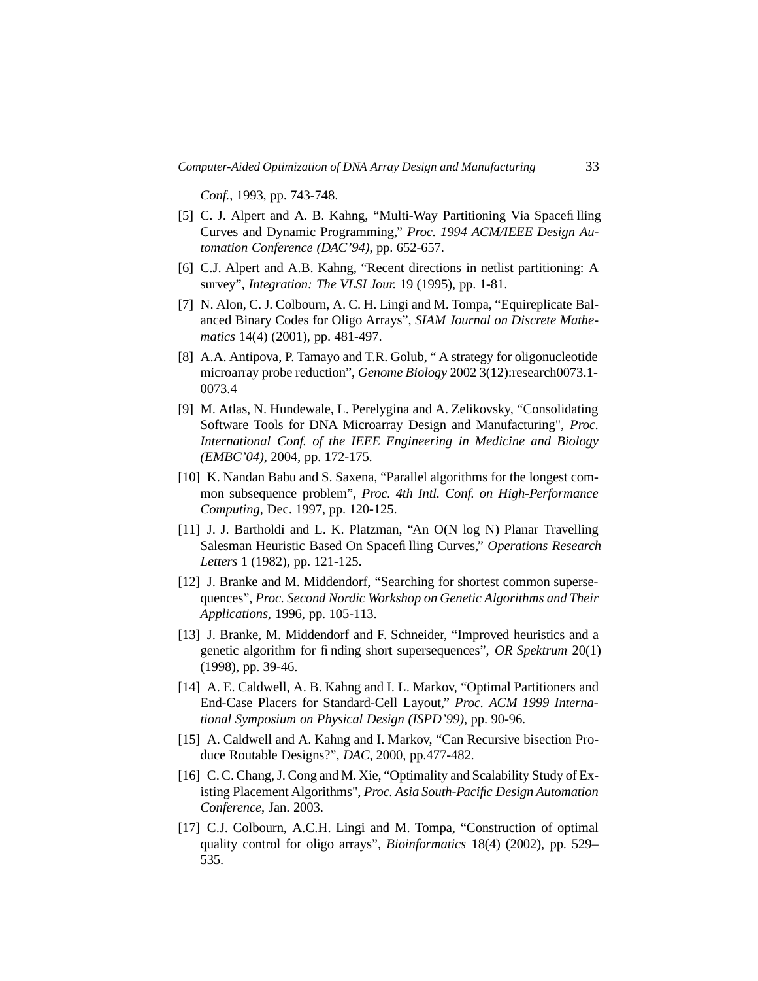*Conf.*, 1993, pp. 743-748.

- [5] C. J. Alpert and A. B. Kahng, "Multi-Way Partitioning Via Spacefilling Curves and Dynamic Programming," *Proc. 1994 ACM/IEEE Design Automation Conference (DAC'94)*, pp. 652-657.
- [6] C.J. Alpert and A.B. Kahng, "Recent directions in netlist partitioning: A survey", *Integration: The VLSI Jour.* 19 (1995), pp. 1-81.
- [7] N. Alon, C. J. Colbourn, A. C. H. Lingi and M. Tompa, "Equireplicate Balanced Binary Codes for Oligo Arrays", *SIAM Journal on Discrete Mathematics* 14(4) (2001), pp. 481-497.
- [8] A.A. Antipova, P. Tamayo and T.R. Golub, " A strategy for oligonucleotide microarray probe reduction", *Genome Biology* 2002 3(12):research0073.1- 0073.4
- [9] M. Atlas, N. Hundewale, L. Perelygina and A. Zelikovsky, "Consolidating Software Tools for DNA Microarray Design and Manufacturing", *Proc. International Conf. of the IEEE Engineering in Medicine and Biology (EMBC'04)*, 2004, pp. 172-175.
- [10] K. Nandan Babu and S. Saxena, "Parallel algorithms for the longest common subsequence problem", *Proc. 4th Intl. Conf. on High-Performance Computing*, Dec. 1997, pp. 120-125.
- [11] J. J. Bartholdi and L. K. Platzman, "An O(N log N) Planar Travelling Salesman Heuristic Based On Spacefilling Curves," *Operations Research Letters* 1 (1982), pp. 121-125.
- [12] J. Branke and M. Middendorf, "Searching for shortest common supersequences", *Proc. Second Nordic Workshop on Genetic Algorithms and Their Applications*, 1996, pp. 105-113.
- [13] J. Branke, M. Middendorf and F. Schneider, "Improved heuristics and a genetic algorithm for finding short supersequences", *OR Spektrum* 20(1) (1998), pp. 39-46.
- [14] A. E. Caldwell, A. B. Kahng and I. L. Markov, "Optimal Partitioners and End-Case Placers for Standard-Cell Layout," *Proc. ACM 1999 International Symposium on Physical Design (ISPD'99)*, pp. 90-96.
- [15] A. Caldwell and A. Kahng and I. Markov, "Can Recursive bisection Produce Routable Designs?", *DAC*, 2000, pp.477-482.
- [16] C.C. Chang, J. Cong and M. Xie, "Optimality and Scalability Study of Existing Placement Algorithms", *Proc. Asia South-Pacific Design Automation Conference*, Jan. 2003.
- [17] C.J. Colbourn, A.C.H. Lingi and M. Tompa, "Construction of optimal quality control for oligo arrays", *Bioinformatics* 18(4) (2002), pp. 529– 535.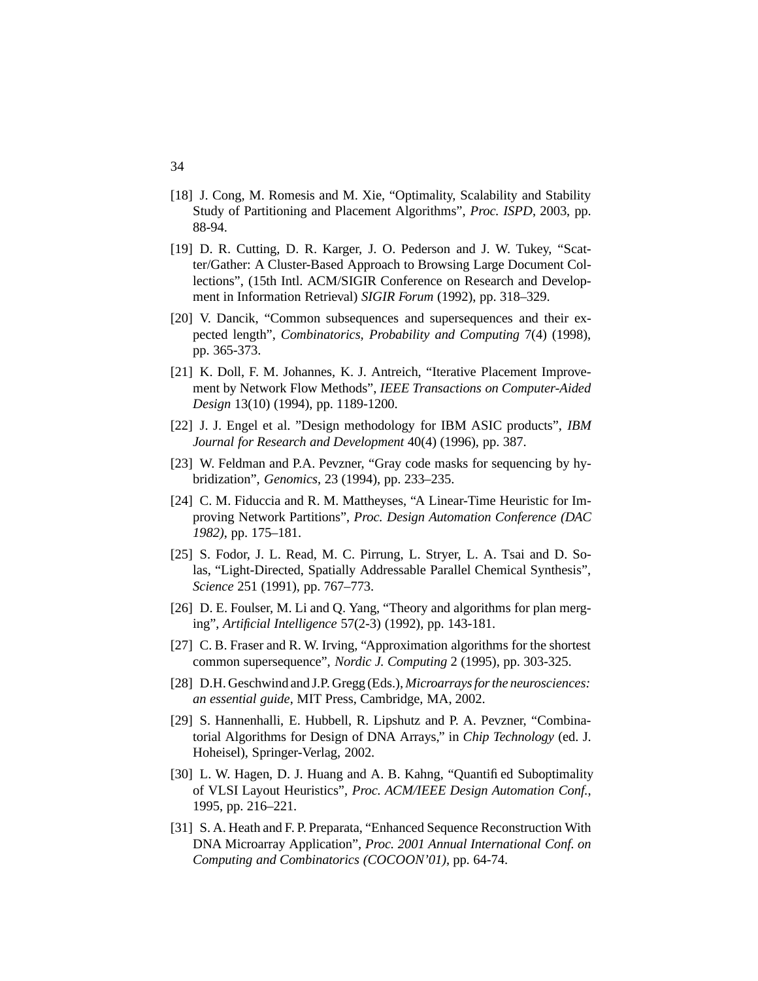- [18] J. Cong, M. Romesis and M. Xie, "Optimality, Scalability and Stability Study of Partitioning and Placement Algorithms", *Proc. ISPD*, 2003, pp. 88-94.
- [19] D. R. Cutting, D. R. Karger, J. O. Pederson and J. W. Tukey, "Scatter/Gather: A Cluster-Based Approach to Browsing Large Document Collections", (15th Intl. ACM/SIGIR Conference on Research and Development in Information Retrieval) *SIGIR Forum* (1992), pp. 318–329.
- [20] V. Dancik, "Common subsequences and supersequences and their expected length", *Combinatorics, Probability and Computing* 7(4) (1998), pp. 365-373.
- [21] K. Doll, F. M. Johannes, K. J. Antreich, "Iterative Placement Improvement by Network Flow Methods", *IEEE Transactions on Computer-Aided Design* 13(10) (1994), pp. 1189-1200.
- [22] J. J. Engel et al. "Design methodology for IBM ASIC products", *IBM Journal for Research and Development* 40(4) (1996), pp. 387.
- [23] W. Feldman and P.A. Pevzner, "Gray code masks for sequencing by hybridization", *Genomics*, 23 (1994), pp. 233–235.
- [24] C. M. Fiduccia and R. M. Mattheyses, "A Linear-Time Heuristic for Improving Network Partitions", *Proc. Design Automation Conference (DAC 1982)*, pp. 175–181.
- [25] S. Fodor, J. L. Read, M. C. Pirrung, L. Stryer, L. A. Tsai and D. Solas, "Light-Directed, Spatially Addressable Parallel Chemical Synthesis", *Science* 251 (1991), pp. 767–773.
- [26] D. E. Foulser, M. Li and Q. Yang, "Theory and algorithms for plan merging", *Artificial Intelligence* 57(2-3) (1992), pp. 143-181.
- [27] C. B. Fraser and R. W. Irving, "Approximation algorithms for the shortest common supersequence", *Nordic J. Computing* 2 (1995), pp. 303-325.
- [28] D.H. Geschwind and J.P. Gregg (Eds.), *Microarraysforthe neurosciences: an essential guide*, MIT Press, Cambridge, MA, 2002.
- [29] S. Hannenhalli, E. Hubbell, R. Lipshutz and P. A. Pevzner, "Combinatorial Algorithms for Design of DNA Arrays," in *Chip Technology* (ed. J. Hoheisel), Springer-Verlag, 2002.
- [30] L. W. Hagen, D. J. Huang and A. B. Kahng, "Quantified Suboptimality of VLSI Layout Heuristics", *Proc. ACM/IEEE Design Automation Conf.*, 1995, pp. 216–221.
- [31] S. A. Heath and F. P. Preparata, "Enhanced Sequence Reconstruction With DNA Microarray Application", *Proc. 2001 Annual International Conf. on Computing and Combinatorics (COCOON'01)*, pp. 64-74.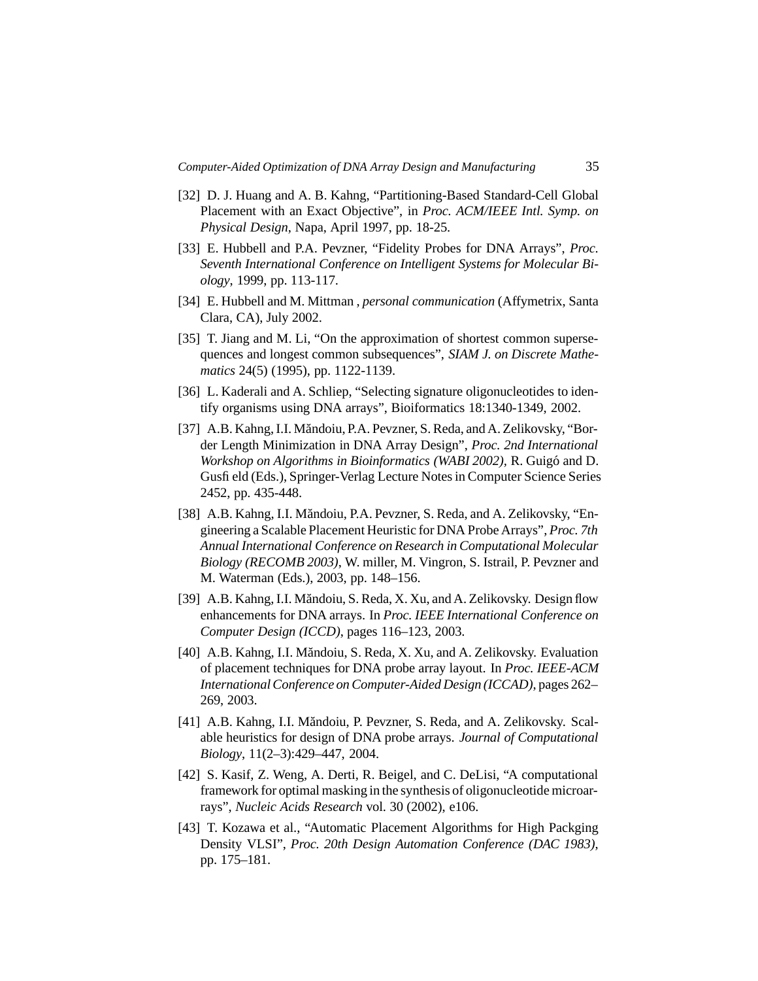- [32] D. J. Huang and A. B. Kahng, "Partitioning-Based Standard-Cell Global Placement with an Exact Objective", in *Proc. ACM/IEEE Intl. Symp. on Physical Design*, Napa, April 1997, pp. 18-25.
- [33] E. Hubbell and P.A. Pevzner, "Fidelity Probes for DNA Arrays", *Proc. Seventh International Conference on Intelligent Systems for Molecular Biology*, 1999, pp. 113-117.
- [34] E. Hubbell and M. Mittman , *personal communication* (Affymetrix, Santa Clara, CA), July 2002.
- [35] T. Jiang and M. Li, "On the approximation of shortest common supersequences and longest common subsequences", *SIAM J. on Discrete Mathematics* 24(5) (1995), pp. 1122-1139.
- [36] L. Kaderali and A. Schliep, "Selecting signature oligonucleotides to identify organisms using DNA arrays", Bioiformatics 18:1340-1349, 2002.
- [37] A.B. Kahng, I.I. Măndoiu, P.A. Pevzner, S. Reda, and A. Zelikovsky, "Border Length Minimization in DNA Array Design", *Proc. 2nd International Workshop on Algorithms in Bioinformatics (WABI 2002),* R. Guigo´ and D. Gusfield (Eds.), Springer-Verlag Lecture Notesin Computer Science Series 2452, pp. 435-448.
- [38] A.B. Kahng, I.I. Măndoiu, P.A. Pevzner, S. Reda, and A. Zelikovsky, "Engineering a Scalable Placement Heuristic for DNA Probe Arrays", *Proc. 7th Annual International Conference on Research in Computational Molecular Biology (RECOMB 2003)*, W. miller, M. Vingron, S. Istrail, P. Pevzner and M. Waterman (Eds.), 2003, pp. 148–156.
- [39] A.B. Kahng, I.I. Măndoiu, S. Reda, X. Xu, and A. Zelikovsky. Design flow enhancements for DNA arrays. In *Proc. IEEE International Conference on Computer Design (ICCD)*, pages 116–123, 2003.
- [40] A.B. Kahng, I.I. Măndoiu, S. Reda, X. Xu, and A. Zelikovsky. Evaluation of placement techniques for DNA probe array layout. In *Proc. IEEE-ACM InternationalConference onComputer-Aided Design (ICCAD)*, pages 262– 269, 2003.
- [41] A.B. Kahng, I.I. Măndoiu, P. Pevzner, S. Reda, and A. Zelikovsky. Scalable heuristics for design of DNA probe arrays. *Journal of Computational Biology*, 11(2–3):429–447, 2004.
- [42] S. Kasif, Z. Weng, A. Derti, R. Beigel, and C. DeLisi, "A computational framework for optimal masking in the synthesis of oligonucleotide microarrays", *Nucleic Acids Research* vol. 30 (2002), e106.
- [43] T. Kozawa et al., "Automatic Placement Algorithms for High Packging Density VLSI", *Proc. 20th Design Automation Conference (DAC 1983)*, pp. 175–181.